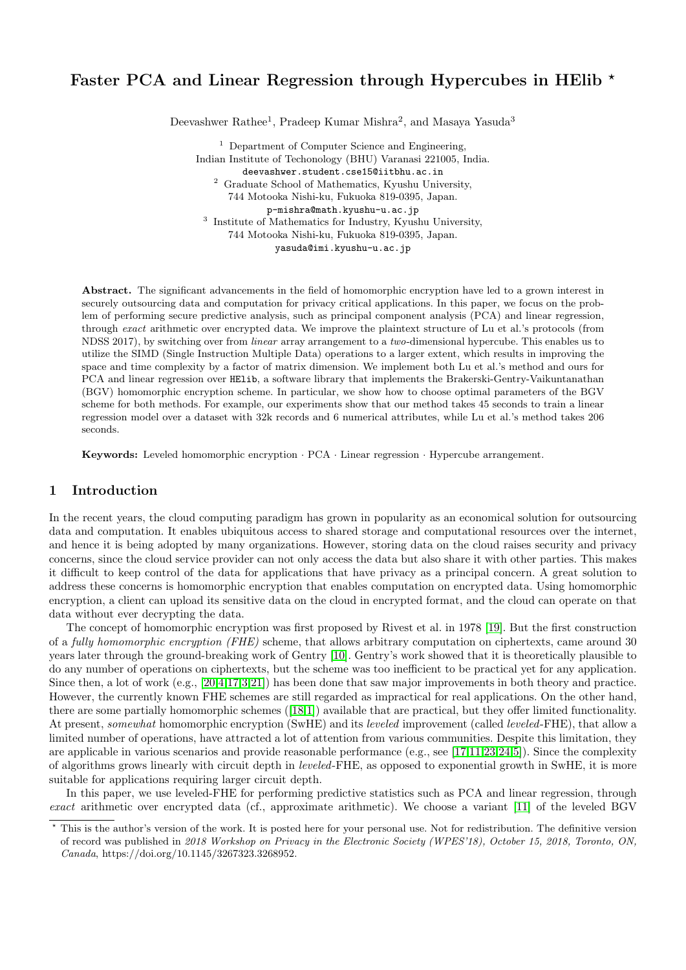# Faster PCA and Linear Regression through Hypercubes in HElib  $\star$

Deevashwer Rathee<sup>1</sup>, Pradeep Kumar Mishra<sup>2</sup>, and Masaya Yasuda<sup>3</sup>

<sup>1</sup> Department of Computer Science and Engineering, Indian Institute of Techonology (BHU) Varanasi 221005, India. deevashwer.student.cse15@iitbhu.ac.in <sup>2</sup> Graduate School of Mathematics, Kyushu University, 744 Motooka Nishi-ku, Fukuoka 819-0395, Japan. p-mishra@math.kyushu-u.ac.jp <sup>3</sup> Institute of Mathematics for Industry, Kyushu University, 744 Motooka Nishi-ku, Fukuoka 819-0395, Japan. yasuda@imi.kyushu-u.ac.jp

Abstract. The significant advancements in the field of homomorphic encryption have led to a grown interest in securely outsourcing data and computation for privacy critical applications. In this paper, we focus on the problem of performing secure predictive analysis, such as principal component analysis (PCA) and linear regression, through exact arithmetic over encrypted data. We improve the plaintext structure of Lu et al.'s protocols (from NDSS 2017), by switching over from linear array arrangement to a two-dimensional hypercube. This enables us to utilize the SIMD (Single Instruction Multiple Data) operations to a larger extent, which results in improving the space and time complexity by a factor of matrix dimension. We implement both Lu et al.'s method and ours for PCA and linear regression over HElib, a software library that implements the Brakerski-Gentry-Vaikuntanathan (BGV) homomorphic encryption scheme. In particular, we show how to choose optimal parameters of the BGV scheme for both methods. For example, our experiments show that our method takes 45 seconds to train a linear regression model over a dataset with 32k records and 6 numerical attributes, while Lu et al.'s method takes 206 seconds.

Keywords: Leveled homomorphic encryption · PCA · Linear regression · Hypercube arrangement.

### 1 Introduction

In the recent years, the cloud computing paradigm has grown in popularity as an economical solution for outsourcing data and computation. It enables ubiquitous access to shared storage and computational resources over the internet, and hence it is being adopted by many organizations. However, storing data on the cloud raises security and privacy concerns, since the cloud service provider can not only access the data but also share it with other parties. This makes it difficult to keep control of the data for applications that have privacy as a principal concern. A great solution to address these concerns is homomorphic encryption that enables computation on encrypted data. Using homomorphic encryption, a client can upload its sensitive data on the cloud in encrypted format, and the cloud can operate on that data without ever decrypting the data.

The concept of homomorphic encryption was first proposed by Rivest et al. in 1978 [\[19\]](#page-17-0). But the first construction of a fully homomorphic encryption (FHE) scheme, that allows arbitrary computation on ciphertexts, came around 30 years later through the ground-breaking work of Gentry [\[10\]](#page-16-0). Gentry's work showed that it is theoretically plausible to do any number of operations on ciphertexts, but the scheme was too inefficient to be practical yet for any application. Since then, a lot of work (e.g., [\[20,](#page-17-1)[4,](#page-15-0)[17,](#page-17-2)[3,](#page-15-1)[21\]](#page-17-3)) has been done that saw major improvements in both theory and practice. However, the currently known FHE schemes are still regarded as impractical for real applications. On the other hand, there are some partially homomorphic schemes ([\[18](#page-17-4)[,1\]](#page-15-2)) available that are practical, but they offer limited functionality. At present, somewhat homomorphic encryption (SwHE) and its leveled improvement (called leveled-FHE), that allow a limited number of operations, have attracted a lot of attention from various communities. Despite this limitation, they are applicable in various scenarios and provide reasonable performance (e.g., see [\[17,](#page-17-2)[11,](#page-16-1)[23,](#page-17-5)[24,](#page-17-6)[5\]](#page-15-3)). Since the complexity of algorithms grows linearly with circuit depth in leveled-FHE, as opposed to exponential growth in SwHE, it is more suitable for applications requiring larger circuit depth.

In this paper, we use leveled-FHE for performing predictive statistics such as PCA and linear regression, through exact arithmetic over encrypted data (cf., approximate arithmetic). We choose a variant [\[11\]](#page-16-1) of the leveled BGV

<sup>?</sup> This is the author's version of the work. It is posted here for your personal use. Not for redistribution. The definitive version of record was published in 2018 Workshop on Privacy in the Electronic Society (WPES'18), October 15, 2018, Toronto, ON, Canada, https://doi.org/10.1145/3267323.3268952.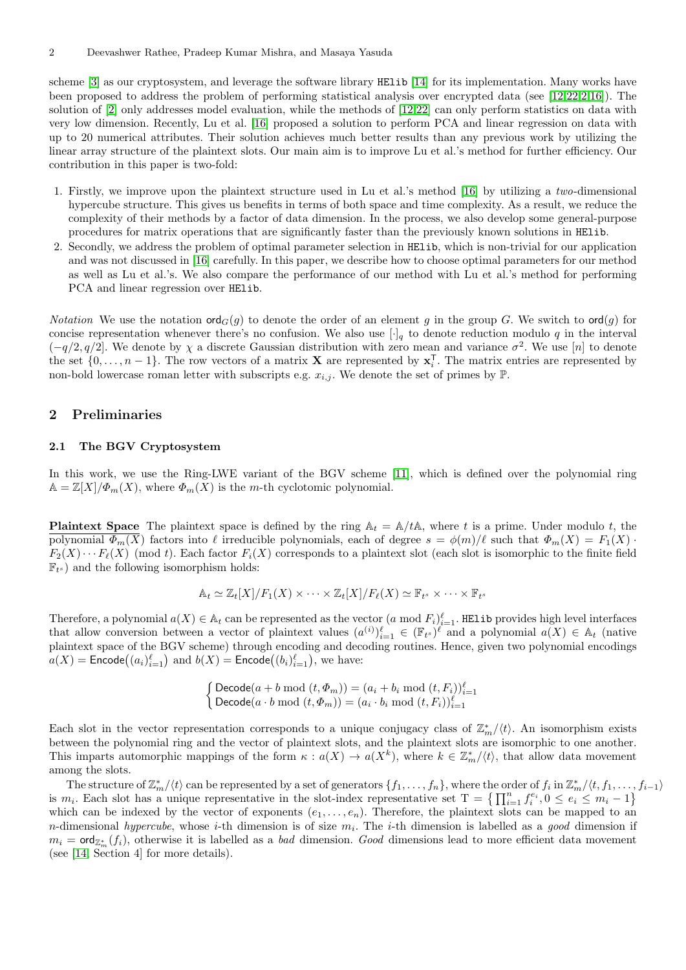scheme [\[3\]](#page-15-1) as our cryptosystem, and leverage the software library HElib [\[14\]](#page-16-2) for its implementation. Many works have been proposed to address the problem of performing statistical analysis over encrypted data (see [\[12,](#page-16-3)[22,](#page-17-7)[2,](#page-15-4)[16\]](#page-17-8)). The solution of [\[2\]](#page-15-4) only addresses model evaluation, while the methods of [\[12,](#page-16-3)[22\]](#page-17-7) can only perform statistics on data with very low dimension. Recently, Lu et al. [\[16\]](#page-17-8) proposed a solution to perform PCA and linear regression on data with up to 20 numerical attributes. Their solution achieves much better results than any previous work by utilizing the linear array structure of the plaintext slots. Our main aim is to improve Lu et al.'s method for further efficiency. Our contribution in this paper is two-fold:

- 1. Firstly, we improve upon the plaintext structure used in Lu et al.'s method [\[16\]](#page-17-8) by utilizing a two-dimensional hypercube structure. This gives us benefits in terms of both space and time complexity. As a result, we reduce the complexity of their methods by a factor of data dimension. In the process, we also develop some general-purpose procedures for matrix operations that are significantly faster than the previously known solutions in HElib.
- 2. Secondly, we address the problem of optimal parameter selection in HElib, which is non-trivial for our application and was not discussed in [\[16\]](#page-17-8) carefully. In this paper, we describe how to choose optimal parameters for our method as well as Lu et al.'s. We also compare the performance of our method with Lu et al.'s method for performing PCA and linear regression over HElib.

*Notation* We use the notation  $\text{ord}_G(q)$  to denote the order of an element q in the group G. We switch to  $\text{ord}(q)$  for concise representation whenever there's no confusion. We also use  $[\cdot]_q$  to denote reduction modulo q in the interval  $(-q/2, q/2]$ . We denote by  $\chi$  a discrete Gaussian distribution with zero mean and variance  $\sigma^2$ . We use [n] to denote the set  $\{0,\ldots,n-1\}$ . The row vectors of a matrix **X** are represented by  $\mathbf{x}_i^{\mathsf{T}}$ . The matrix entries are represented by non-bold lowercase roman letter with subscripts e.g.  $x_{i,j}$ . We denote the set of primes by  $\mathbb{P}$ .

## 2 Preliminaries

### 2.1 The BGV Cryptosystem

In this work, we use the Ring-LWE variant of the BGV scheme [\[11\]](#page-16-1), which is defined over the polynomial ring  $A = \mathbb{Z}[X]/\Phi_m(X)$ , where  $\Phi_m(X)$  is the m-th cyclotomic polynomial.

<span id="page-1-0"></span>**Plaintext Space** The plaintext space is defined by the ring  $A_t = A/tA$ , where t is a prime. Under modulo t, the polynomial  $\Phi_m(X)$  factors into  $\ell$  irreducible polynomials, each of degree  $s = \phi(m)/\ell$  such that  $\Phi_m(X) = F_1(X)$ .  $F_2(X) \cdots F_\ell(X)$  (mod t). Each factor  $F_i(X)$  corresponds to a plaintext slot (each slot is isomorphic to the finite field  $\mathbb{F}_{t^s}$ ) and the following isomorphism holds:

$$
\mathbb{A}_t \simeq \mathbb{Z}_t[X]/F_1(X) \times \cdots \times \mathbb{Z}_t[X]/F_{\ell}(X) \simeq \mathbb{F}_{t^s} \times \cdots \times \mathbb{F}_{t^s}
$$

Therefore, a polynomial  $a(X) \in \mathbb{A}_t$  can be represented as the vector  $(a \mod F_i)_{i=1}^{\ell}$ . HElib provides high level interfaces that allow conversion between a vector of plaintext values  $(a^{(i)})_{i=1}^{\ell} \in (\mathbb{F}_{t})^{\ell}$  and a polynomial  $a(X) \in \mathbb{A}_{t}$  (native plaintext space of the BGV scheme) through encoding and decoding routines. Hence, given two polynomial encodings  $a(X) = \mathsf{Encode}\big((a_i)_{i=1}^\ell\big)$  and  $b(X) = \mathsf{Encode}\big((b_i)_{i=1}^\ell\big),$  we have:

$$
\begin{cases}\text{Decode}(a+b \bmod (t, \Phi_m)) = (a_i + b_i \bmod (t, F_i))_{i=1}^{\ell} \\ \text{Decode}(a \cdot b \bmod (t, \Phi_m)) = (a_i \cdot b_i \bmod (t, F_i))_{i=1}^{\ell} \end{cases}
$$

Each slot in the vector representation corresponds to a unique conjugacy class of  $\mathbb{Z}_m^*/\langle t \rangle$ . An isomorphism exists between the polynomial ring and the vector of plaintext slots, and the plaintext slots are isomorphic to one another. This imparts automorphic mappings of the form  $\kappa : a(X) \to a(X^k)$ , where  $k \in \mathbb{Z}_m^*/\langle t \rangle$ , that allow data movement among the slots.

The structure of  $\mathbb{Z}_m^*/\langle t \rangle$  can be represented by a set of generators  $\{f_1,\ldots,f_n\}$ , where the order of  $f_i$  in  $\mathbb{Z}_m^*/\langle t,f_1,\ldots,f_{i-1} \rangle$ is  $m_i$ . Each slot has a unique representative in the slot-index representative set  $T = \left\{ \prod_{i=1}^n f_i^{e_i}, 0 \le e_i \le m_i - 1 \right\}$ which can be indexed by the vector of exponents  $(e_1, \ldots, e_n)$ . Therefore, the plaintext slots can be mapped to an *n*-dimensional *hypercube*, whose *i*-th dimension is of size  $m_i$ . The *i*-th dimension is labelled as a good dimension if  $m_i = \textsf{ord}_{\mathbb{Z}_m^*}(f_i)$ , otherwise it is labelled as a *bad* dimension. Good dimensions lead to more efficient data movement (see [\[14,](#page-16-2) Section 4] for more details).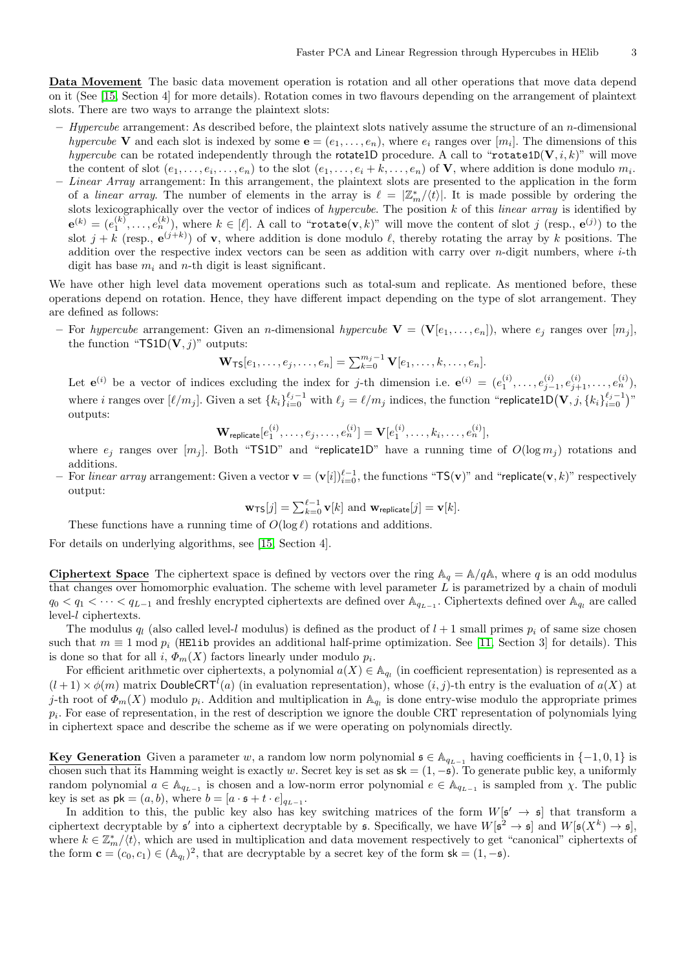Data Movement The basic data movement operation is rotation and all other operations that move data depend on it (See [\[15,](#page-16-4) Section 4] for more details). Rotation comes in two flavours depending on the arrangement of plaintext slots. There are two ways to arrange the plaintext slots:

- $-$  Hypercube arrangement: As described before, the plaintext slots natively assume the structure of an n-dimensional hypercube V and each slot is indexed by some  $e = (e_1, \ldots, e_n)$ , where  $e_i$  ranges over  $[m_i]$ . The dimensions of this hypercube can be rotated independently through the rotate1D procedure. A call to "rotate1D( $V, i, k$ )" will move the content of slot  $(e_1, \ldots, e_i, \ldots, e_n)$  to the slot  $(e_1, \ldots, e_i + k, \ldots, e_n)$  of **V**, where addition is done modulo  $m_i$ .
- Linear Array arrangement: In this arrangement, the plaintext slots are presented to the application in the form of a linear array. The number of elements in the array is  $\ell = \left| \mathbb{Z}_m^* \right| \langle t \rangle$ . It is made possible by ordering the slots lexicographically over the vector of indices of *hypercube*. The position  $k$  of this *linear array* is identified by  $\mathbf{e}^{(k)}=(e_1^{(k)},\ldots,e_n^{(k)}),$  where  $k\in [\ell].$  A call to "rotat $\mathbf{e}(\mathbf{v},k)$ " will move the content of slot  $j$  (resp.,  $\mathbf{e}^{(j)})$  to the slot  $j + k$  (resp.,  $e^{(j+k)}$ ) of **v**, where addition is done modulo  $\ell$ , thereby rotating the array by k positions. The addition over the respective index vectors can be seen as addition with carry over  $n$ -digit numbers, where  $i$ -th digit has base  $m_i$  and n-th digit is least significant.

We have other high level data movement operations such as total-sum and replicate. As mentioned before, these operations depend on rotation. Hence, they have different impact depending on the type of slot arrangement. They are defined as follows:

– For hypercube arrangement: Given an n-dimensional hypercube  $\mathbf{V} = (\mathbf{V}[e_1, \ldots, e_n])$ , where  $e_i$  ranges over  $[m_i]$ , the function "TS1D $(V, j)$ " outputs:

$$
\mathbf{W}_{\mathsf{TS}}[e_1,\ldots,e_j,\ldots,e_n] = \sum_{k=0}^{m_j-1} \mathbf{V}[e_1,\ldots,k,\ldots,e_n].
$$

Let  $e^{(i)}$  be a vector of indices excluding the index for j-th dimension i.e.  $e^{(i)} = (e_1^{(i)}, \ldots, e_{j-1}^{(i)}, e_{j+1}^{(i)}, \ldots, e_n^{(i)}),$ where i ranges over  $[\ell/m_j]$ . Given a set  $\{k_i\}_{i=0}^{\ell_j-1}$  with  $\ell_j = \ell/m_j$  indices, the function "replicate1D $(\mathbf{V}, j, \{k_i\}_{i=0}^{\ell_j-1})$ " outputs:

$$
\mathbf{W}_{\mathsf{replicate}}[e_1^{(i)}, \ldots, e_j, \ldots, e_n^{(i)}] = \mathbf{V}[e_1^{(i)}, \ldots, k_i, \ldots, e_n^{(i)}],
$$

where  $e_i$  ranges over  $[m_i]$ . Both "TS1D" and "replicate1D" have a running time of  $O(\log m_i)$  rotations and additions.

 $−\,$  For *linear array* arrangement: Given a vector  $\mathbf{v} = (\mathbf{v}[i])_{i=0}^{\ell-1},$  the functions "TS $(\mathbf{v})$ " and "replicate $(\mathbf{v},k)$ " respectively output:

$$
\mathbf{w}_{\mathsf{TS}}[j] = \sum_{k=0}^{\ell-1} \mathbf{v}[k]
$$
 and  $\mathbf{w}_{\mathsf{replicate}}[j] = \mathbf{v}[k]$ .

These functions have a running time of  $O(\log \ell)$  rotations and additions.

For details on underlying algorithms, see [\[15,](#page-16-4) Section 4].

**Ciphertext Space** The ciphertext space is defined by vectors over the ring  $A_q = A/qA$ , where q is an odd modulus that changes over homomorphic evaluation. The scheme with level parameter L is parametrized by a chain of moduli  $q_0 < q_1 < \cdots < q_{L-1}$  and freshly encrypted ciphertexts are defined over  $\mathbb{A}_{q_{L-1}}$ . Ciphertexts defined over  $\mathbb{A}_{q_l}$  are called level-l ciphertexts.

The modulus  $q_l$  (also called level-l modulus) is defined as the product of  $l + 1$  small primes  $p_i$  of same size chosen such that  $m \equiv 1 \mod p_i$  (HElib provides an additional half-prime optimization. See [\[11,](#page-16-1) Section 3] for details). This is done so that for all  $i, \Phi_m(X)$  factors linearly under modulo  $p_i$ .

For efficient arithmetic over ciphertexts, a polynomial  $a(X) \in \mathbb{A}_{q_l}$  (in coefficient representation) is represented as a  $(l+1) \times \phi(m)$  matrix DoubleCRT<sup>l</sup>(a) (in evaluation representation), whose  $(i, j)$ -th entry is the evaluation of  $a(X)$  at j-th root of  $\Phi_m(X)$  modulo  $p_i$ . Addition and multiplication in  $\mathbb{A}_{q_i}$  is done entry-wise modulo the appropriate primes  $p_i$ . For ease of representation, in the rest of description we ignore the double CRT representation of polynomials lying in ciphertext space and describe the scheme as if we were operating on polynomials directly.

Key Generation Given a parameter w, a random low norm polynomial  $\mathfrak{s} \in \mathbb{A}_{q_{L-1}}$  having coefficients in  $\{-1,0,1\}$  is chosen such that its Hamming weight is exactly w. Secret key is set as  $sk = (1, -s)$ . To generate public key, a uniformly random polynomial  $a \in \mathbb{A}_{q_{L-1}}$  is chosen and a low-norm error polynomial  $e \in \mathbb{A}_{q_{L-1}}$  is sampled from  $\chi$ . The public key is set as  $\mathsf{pk} = (a, b)$ , where  $b = [a \cdot \mathfrak{s} + t \cdot e]_{q_{L-1}}$ .

In addition to this, the public key also has key switching matrices of the form  $W[\mathfrak{s}' \to \mathfrak{s}]$  that transform a ciphertext decryptable by  $\mathfrak{s}'$  into a ciphertext decryptable by  $\mathfrak{s}$ . Specifically, we have  $W[\mathfrak{s}^2 \to \mathfrak{s}]$  and  $W[\mathfrak{s}(X^k) \to \mathfrak{s}]$ , where  $k \in \mathbb{Z}_m^*/\langle t \rangle$ , which are used in multiplication and data movement respectively to get "canonical" ciphertexts of the form  $\mathbf{c} = (c_0, c_1) \in (\mathbb{A}_{q_l})^2$ , that are decryptable by a secret key of the form  $\mathsf{sk} = (1, -\mathfrak{s})$ .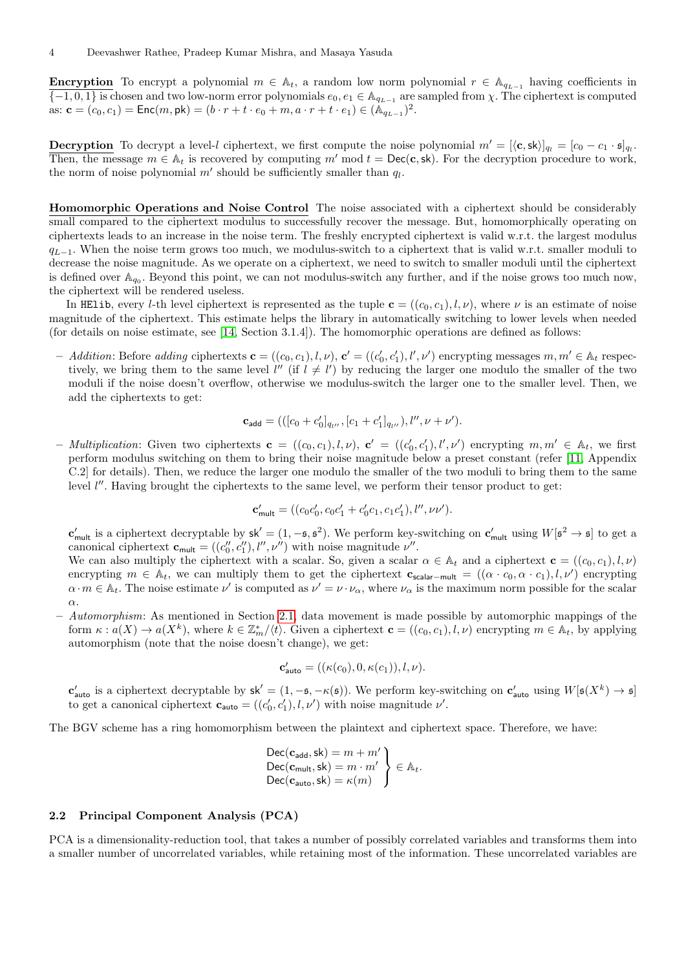**Encryption** To encrypt a polynomial  $m \in \mathbb{A}_t$ , a random low norm polynomial  $r \in \mathbb{A}_{q_{L-1}}$  having coefficients in  $\{-1,0,1\}$  is chosen and two low-norm error polynomials  $e_0, e_1 \in \mathbb{A}_{q_{L-1}}$  are sampled from  $\chi$ . The ciphertext is computed as:  $\mathbf{c} = (c_0, c_1) = \text{Enc}(m, \text{pk}) = (b \cdot r + t \cdot e_0 + m, a \cdot r + t \cdot e_1) \in (\mathbb{A}_{q_{L-1}})^2$ .

**Decryption** To decrypt a level-l ciphertext, we first compute the noise polynomial  $m' = [\langle \mathbf{c}, \mathbf{sk} \rangle]_{q_l} = [c_0 - c_1 \cdot \mathbf{s}]_{q_l}$ . Then, the message  $m \in A_t$  is recovered by computing m' mod  $t = \text{Dec}(\mathbf{c}, \mathsf{sk})$ . For the decryption procedure to work, the norm of noise polynomial  $m'$  should be sufficiently smaller than  $q_l$ .

Homomorphic Operations and Noise Control The noise associated with a ciphertext should be considerably small compared to the ciphertext modulus to successfully recover the message. But, homomorphically operating on ciphertexts leads to an increase in the noise term. The freshly encrypted ciphertext is valid w.r.t. the largest modulus  $q_{L-1}$ . When the noise term grows too much, we modulus-switch to a ciphertext that is valid w.r.t. smaller moduli to decrease the noise magnitude. As we operate on a ciphertext, we need to switch to smaller moduli until the ciphertext is defined over  $\mathbb{A}_{q_0}$ . Beyond this point, we can not modulus-switch any further, and if the noise grows too much now, the ciphertext will be rendered useless.

In HElib, every l-th level ciphertext is represented as the tuple  $\mathbf{c} = ((c_0, c_1), l, \nu)$ , where  $\nu$  is an estimate of noise magnitude of the ciphertext. This estimate helps the library in automatically switching to lower levels when needed (for details on noise estimate, see [\[14,](#page-16-2) Section 3.1.4]). The homomorphic operations are defined as follows:

Addition: Before adding ciphertexts  $\mathbf{c} = ((c_0, c_1), l, \nu), \mathbf{c'} = ((c'_0, c'_1), l', \nu')$  encrypting messages  $m, m' \in \mathbb{A}_t$  respectively, we bring them to the same level  $l''$  (if  $l \neq l'$ ) by reducing the larger one modulo the smaller of the two moduli if the noise doesn't overflow, otherwise we modulus-switch the larger one to the smaller level. Then, we add the ciphertexts to get:

$$
\mathbf{c}_{\text{add}} = (([c_0 + c'_0]_{q_{l''}}, [c_1 + c'_1]_{q_{l''}}), l'', \nu + \nu').
$$

- Multiplication: Given two ciphertexts  $\mathbf{c} = ((c_0, c_1), l, \nu), \mathbf{c}' = ((c'_0, c'_1), l', \nu')$  encrypting  $m, m' \in \mathbb{A}_t$ , we first perform modulus switching on them to bring their noise magnitude below a preset constant (refer [\[11,](#page-16-1) Appendix C.2] for details). Then, we reduce the larger one modulo the smaller of the two moduli to bring them to the same level  $l''$ . Having brought the ciphertexts to the same level, we perform their tensor product to get:

$$
\mathbf{c}'_{\text{mult}} = ((c_0c'_0, c_0c'_1 + c'_0c_1, c_1c'_1), l'', \nu\nu').
$$

 $\mathbf{c}'_{\mathsf{mult}}$  is a ciphertext decryptable by  $\mathsf{sk}' = (1, -\mathfrak{s}, \mathfrak{s}^2)$ . We perform key-switching on  $\mathbf{c}'_{\mathsf{mult}}$  using  $W[\mathfrak{s}^2 \to \mathfrak{s}]$  to get a canonical ciphertext  $\mathbf{c}_{\text{mult}} = ((c''_0, c''_1), l'', \nu'')$  with noise magnitude  $\nu''$ .

We can also multiply the ciphertext with a scalar. So, given a scalar  $\alpha \in A_t$  and a ciphertext  $\mathbf{c} = ((c_0, c_1), l, \nu)$ encrypting  $m \in \mathbb{A}_t$ , we can multiply them to get the ciphertext  $\mathbf{c}_{\text{scalar-mult}} = ((\alpha \cdot c_0, \alpha \cdot c_1), l, \nu')$  encrypting  $\alpha \cdot m \in \mathbb{A}_t$ . The noise estimate  $\nu'$  is computed as  $\nu' = \nu \cdot \nu_\alpha$ , where  $\nu_\alpha$  is the maximum norm possible for the scalar α.

– Automorphism: As mentioned in Section [2.1,](#page-1-0) data movement is made possible by automorphic mappings of the form  $\kappa : a(X) \to a(X^k)$ , where  $k \in \mathbb{Z}_m^*/\langle t \rangle$ . Given a ciphertext  $\mathbf{c} = ((c_0, c_1), l, \nu)$  encrypting  $m \in \mathbb{A}_t$ , by applying automorphism (note that the noise doesn't change), we get:

$$
\mathbf{c}'_{\text{auto}} = ((\kappa(c_0), 0, \kappa(c_1)), l, \nu).
$$

 $\mathbf{c}'_{\text{auto}}$  is a ciphertext decryptable by  $\mathsf{sk}' = (1, -\mathfrak{s}, -\kappa(\mathfrak{s}))$ . We perform key-switching on  $\mathbf{c}'_{\text{auto}}$  using  $W[\mathfrak{s}(X^k) \to \mathfrak{s}]$ to get a canonical ciphertext  $\mathbf{c}_{\text{auto}} = ((c'_0, c'_1), l, \nu')$  with noise magnitude  $\nu'$ .

The BGV scheme has a ring homomorphism between the plaintext and ciphertext space. Therefore, we have:

$$
\begin{array}{l} \mathsf{Dec}(\mathbf{c}_{\mathsf{add}},\mathsf{sk})=m+m' \\ \mathsf{Dec}(\mathbf{c}_{\mathsf{mult}},\mathsf{sk})=m\cdot m' \\ \mathsf{Dec}(\mathbf{c}_{\mathsf{auto}},\mathsf{sk})=\kappa(m) \end{array}\bigg\} \in \mathbb{A}_t.
$$

#### 2.2 Principal Component Analysis (PCA)

PCA is a dimensionality-reduction tool, that takes a number of possibly correlated variables and transforms them into a smaller number of uncorrelated variables, while retaining most of the information. These uncorrelated variables are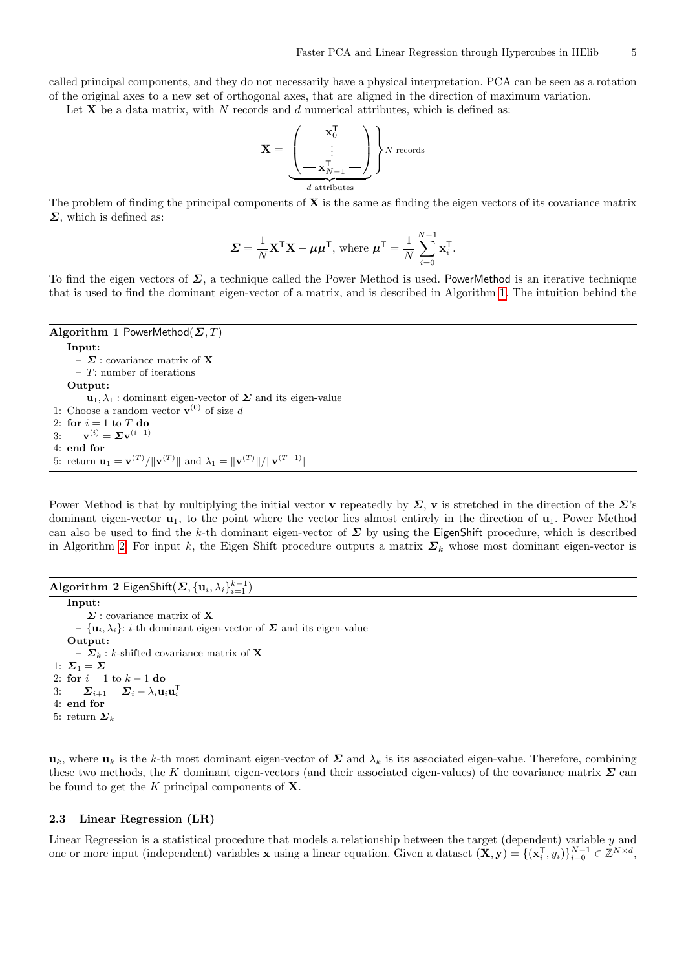called principal components, and they do not necessarily have a physical interpretation. PCA can be seen as a rotation of the original axes to a new set of orthogonal axes, that are aligned in the direction of maximum variation.

Let  $X$  be a data matrix, with N records and d numerical attributes, which is defined as:

$$
\mathbf{X} = \underbrace{\begin{pmatrix} - & \mathbf{x}_0^{\mathsf{T}} & - \\ \vdots & \\ - & \mathbf{x}_{N-1}^{\mathsf{T}} - \end{pmatrix}}_{d \text{ attributes}} \}^{N \text{ records}}
$$

The problem of finding the principal components of  $X$  is the same as finding the eigen vectors of its covariance matrix  $\Sigma$ , which is defined as:

$$
\mathbf{\Sigma} = \frac{1}{N} \mathbf{X}^{\mathsf{T}} \mathbf{X} - \boldsymbol{\mu} \boldsymbol{\mu}^{\mathsf{T}}, \text{ where } \boldsymbol{\mu}^{\mathsf{T}} = \frac{1}{N} \sum_{i=0}^{N-1} \mathbf{x}_i^{\mathsf{T}}.
$$

To find the eigen vectors of  $\Sigma$ , a technique called the Power Method is used. PowerMethod is an iterative technique that is used to find the dominant eigen-vector of a matrix, and is described in Algorithm [1.](#page-4-0) The intuition behind the

<span id="page-4-0"></span>Algorithm 1 PowerMethod( $\Sigma$ , T) Input: –  $\boldsymbol{\Sigma}$  : covariance matrix of  $\mathbf X$  $-$  T: number of iterations Output:  $-$ **u**<sub>1</sub>,  $\lambda$ <sub>1</sub> : dominant eigen-vector of  $\Sigma$  and its eigen-value 1: Choose a random vector  $\mathbf{v}^{(0)}$  of size d 2: for  $i = 1$  to T do 3:  ${\bf v}^{(i)} = \Sigma {\bf v}^{(i-1)}$ 4: end for 5: return  $\mathbf{u}_1 = \mathbf{v}^{(T)}/\|\mathbf{v}^{(T)}\|$  and  $\lambda_1 = \|\mathbf{v}^{(T)}\|/\|\mathbf{v}^{(T-1)}\|$ 

Power Method is that by multiplying the initial vector **v** repeatedly by  $\Sigma$ , **v** is stretched in the direction of the  $\Sigma$ 's dominant eigen-vector  $\mathbf{u}_1$ , to the point where the vector lies almost entirely in the direction of  $\mathbf{u}_1$ . Power Method can also be used to find the k-th dominant eigen-vector of  $\Sigma$  by using the EigenShift procedure, which is described in Algorithm [2.](#page-4-1) For input k, the Eigen Shift procedure outputs a matrix  $\Sigma_k$  whose most dominant eigen-vector is

```
\mathbf{Algorithm} 2 Eigen\mathsf{Shift}(\mathcal{\mathcal{Z}},\{\mathbf{u}_i,\lambda_i\}_{i=1}^{k-1})
```

```
Input:
       – \Sigma: covariance matrix of X
       – {\mathbf{u}_i, \lambda_i}: i-th dominant eigen-vector of \Sigma and its eigen-value
    Output:
        -\Sigma_k: k-shifted covariance matrix of X
1: \Sigma_1 = \Sigma2: for i = 1 to k - 1 do
3: \boldsymbol{\Sigma}_{i+1} = \boldsymbol{\Sigma}_{i} - \lambda_{i} \mathbf{u}_{i} \mathbf{u}_{i}^{\mathsf{T}}4: end for
5: return \Sigma_k
```
 $\mathbf{u}_k$ , where  $\mathbf{u}_k$  is the k-th most dominant eigen-vector of  $\Sigma$  and  $\lambda_k$  is its associated eigen-value. Therefore, combining these two methods, the K dominant eigen-vectors (and their associated eigen-values) of the covariance matrix  $\Sigma$  can be found to get the  $K$  principal components of  $X$ .

#### 2.3 Linear Regression (LR)

Linear Regression is a statistical procedure that models a relationship between the target (dependent) variable y and one or more input (independent) variables x using a linear equation. Given a dataset  $(\mathbf{X}, \mathbf{y}) = \{(\mathbf{x}_i^{\mathsf{T}}, y_i)\}_{i=0}^{N-1} \in \mathbb{Z}^{N \times d}$ ,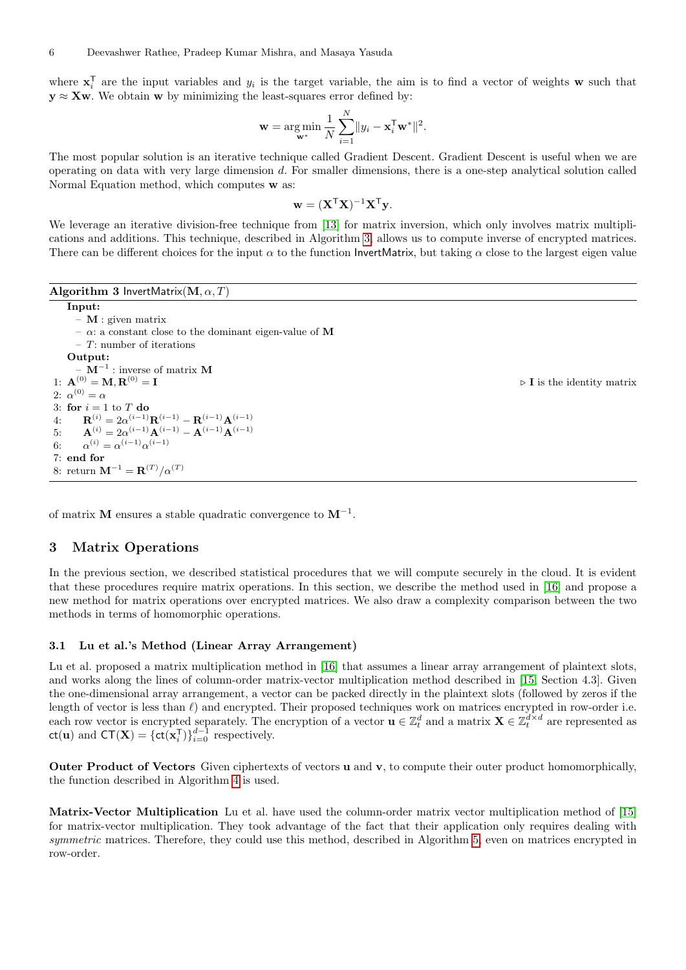where  $\mathbf{x}_i^T$  are the input variables and  $y_i$  is the target variable, the aim is to find a vector of weights **w** such that  $y \approx Xw$ . We obtain w by minimizing the least-squares error defined by:

$$
\mathbf{w} = \argmin_{\mathbf{w}^*} \frac{1}{N} \sum_{i=1}^N ||y_i - \mathbf{x}_i^{\mathsf{T}} \mathbf{w}^*||^2.
$$

The most popular solution is an iterative technique called Gradient Descent. Gradient Descent is useful when we are operating on data with very large dimension d. For smaller dimensions, there is a one-step analytical solution called Normal Equation method, which computes w as:

$$
\mathbf{w} = (\mathbf{X}^\mathsf{T} \mathbf{X})^{-1} \mathbf{X}^\mathsf{T} \mathbf{y}.
$$

We leverage an iterative division-free technique from [\[13\]](#page-16-5) for matrix inversion, which only involves matrix multiplications and additions. This technique, described in Algorithm [3,](#page-5-0) allows us to compute inverse of encrypted matrices. There can be different choices for the input  $\alpha$  to the function InvertMatrix, but taking  $\alpha$  close to the largest eigen value

Algorithm 3 InvertMatrix( $\mathbf{M}, \alpha, T$ )

<span id="page-5-0"></span>Input: – M : given matrix – α: a constant close to the dominant eigen-value of M  $-$  T: number of iterations Output:  $-$  M<sup> $-1$ </sup> : inverse of matrix M 1:  $\mathbf{A}^{(0)} = \mathbf{M}, \mathbf{R}^{(0)} = \mathbf{I}$  b is the identity matrix 2:  $\alpha^{(0)} = \alpha$ 3: for  $i = 1$  to T do 4:  $\mathbf{R}^{(i)} = 2\alpha^{(i-1)}\mathbf{R}^{(i-1)} - \mathbf{R}^{(i-1)}\mathbf{A}^{(i-1)}$ 5:  $\mathbf{A}^{(i)} = 2\alpha^{(i-1)}\mathbf{A}^{(i-1)} - \mathbf{A}^{(i-1)}\mathbf{A}^{(i-1)}$ 6:  $\alpha^{(i)} = \alpha^{(i-1)} \alpha^{(i-1)}$ 7: end for 8: return  $M^{-1} = R^{(T)}/\alpha^{(T)}$ 

of matrix **M** ensures a stable quadratic convergence to  $M^{-1}$ .

## 3 Matrix Operations

In the previous section, we described statistical procedures that we will compute securely in the cloud. It is evident that these procedures require matrix operations. In this section, we describe the method used in [\[16\]](#page-17-8) and propose a new method for matrix operations over encrypted matrices. We also draw a complexity comparison between the two methods in terms of homomorphic operations.

#### <span id="page-5-1"></span>3.1 Lu et al.'s Method (Linear Array Arrangement)

Lu et al. proposed a matrix multiplication method in [\[16\]](#page-17-8) that assumes a linear array arrangement of plaintext slots, and works along the lines of column-order matrix-vector multiplication method described in [\[15,](#page-16-4) Section 4.3]. Given the one-dimensional array arrangement, a vector can be packed directly in the plaintext slots (followed by zeros if the length of vector is less than  $\ell$ ) and encrypted. Their proposed techniques work on matrices encrypted in row-order i.e. each row vector is encrypted separately. The encryption of a vector  $\mathbf{u} \in \mathbb{Z}_t^d$  and a matrix  $\mathbf{X} \in \mathbb{Z}_t^{d \times d}$  are represented as  $ct(\mathbf{u})$  and  $CT(\mathbf{X}) = {ct(\mathbf{x}_i^T)}_{i=0}^{d-1}$  respectively.

Outer Product of Vectors Given ciphertexts of vectors u and v, to compute their outer product homomorphically, the function described in Algorithm [4](#page-6-0) is used.

Matrix-Vector Multiplication Lu et al. have used the column-order matrix vector multiplication method of [\[15\]](#page-16-4) for matrix-vector multiplication. They took advantage of the fact that their application only requires dealing with symmetric matrices. Therefore, they could use this method, described in Algorithm [5,](#page-6-1) even on matrices encrypted in row-order.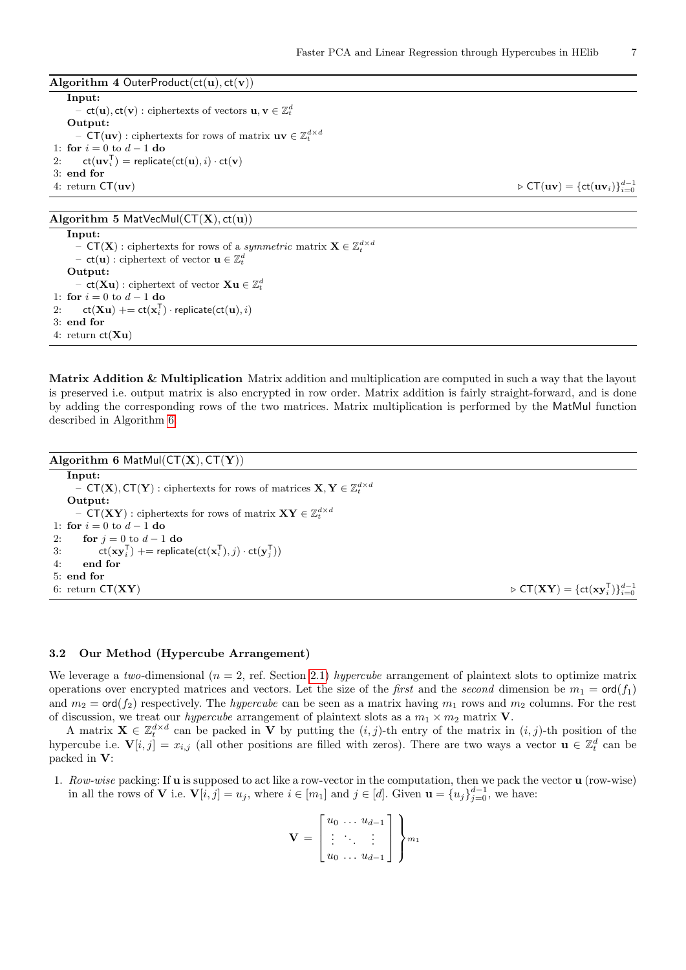<span id="page-6-0"></span>Algorithm 4 OuterProduct(ct(u),  $ct(v)$ ) Input:  $\mathbf{c} = \mathbf{ct}(\mathbf{u}), \mathbf{ct}(\mathbf{v}): \text{ciphertexts of vectors } \mathbf{u}, \mathbf{v} \in \mathbb{Z}_t^d$ Output: − **CT**(**uv**) : ciphertexts for rows of matrix **uv**  $\in \mathbb{Z}_t^{d \times d}$ 1: for  $i = 0$  to  $d - 1$  do 2:  $ct(uv_i^{\mathsf{T}}) = \text{replicate}(ct(u), i) \cdot ct(v)$ 3: end for 4: return  $CT(uv)$   $\triangleright$   $CT(uv) = {ct(uv_i)}_{i=0}^{d-1}$ 

## Algorithm 5 MatVecMul( $CT(X)$ ,  $ct(u)$ )

<span id="page-6-1"></span>Input: −  $\mathsf{CT}(\mathbf{X})$  : ciphertexts for rows of a *symmetric* matrix  $\mathbf{X} \in \mathbb{Z}_t^{d \times d}$ − **ct**(**u**) : ciphertext of vector  $\mathbf{u} \in \mathbb{Z}_t^d$ Output: -  $ct(Xu)$  : ciphertext of vector  $Xu \in \mathbb{Z}_t^d$ 1: for  $i = 0$  to  $d - 1$  do  $2\colon \quad \mathsf{ct}(\mathbf{Xu}) \mathrel{+}= \mathsf{ct}(\mathbf{x}_i^{\mathsf{T}}) \cdot \mathsf{replicate}(\mathsf{ct}(\mathbf{u}), i)$ 3: end for 4: return  $ct(Xu)$ 

Matrix Addition & Multiplication Matrix addition and multiplication are computed in such a way that the layout is preserved i.e. output matrix is also encrypted in row order. Matrix addition is fairly straight-forward, and is done by adding the corresponding rows of the two matrices. Matrix multiplication is performed by the MatMul function described in Algorithm [6.](#page-6-2)

<span id="page-6-2"></span>Algorithm 6 MatMul $(CT(X), CT(Y))$ Input: −  $\mathsf{CT}(\mathbf{X}), \mathsf{CT}(\mathbf{Y})$ : ciphertexts for rows of matrices  $\mathbf{X}, \mathbf{Y} \in \mathbb{Z}_t^{d \times d}$ Output: −  $\mathsf{CT}(\mathbf{X}\mathbf{Y})$  : ciphertexts for rows of matrix  $\mathbf{X}\mathbf{Y} \in \mathbb{Z}_t^{d \times d}$ 1: for  $i = 0$  to  $d - 1$  do 2: for  $j = 0$  to  $d - 1$  do 3:  $ct(xy_i^T) == \text{replicate}(ct(x_i^T), j) \cdot ct(y_j^T))$ 4: end for 5: end for 6: return  $\mathsf{CT}(\mathbf{X}\mathbf{Y}) = {\mathsf{ct}}(\mathbf{x}\mathbf{y}_i^{\mathsf{T}})\}_{i=0}^{d-1}$ 

### <span id="page-6-3"></span>3.2 Our Method (Hypercube Arrangement)

We leverage a two-dimensional ( $n = 2$ , ref. Section [2.1\)](#page-1-0) hypercube arrangement of plaintext slots to optimize matrix operations over encrypted matrices and vectors. Let the size of the *first* and the *second* dimension be  $m_1 = \text{ord}(f_1)$ and  $m_2 = \text{ord}(f_2)$  respectively. The *hypercube* can be seen as a matrix having  $m_1$  rows and  $m_2$  columns. For the rest of discussion, we treat our *hypercube* arrangement of plaintext slots as a  $m_1 \times m_2$  matrix **V**.

A matrix  $\mathbf{X} \in \mathbb{Z}_t^{d \times d}$  can be packed in  $\mathbf{V}$  by putting the  $(i, j)$ -th entry of the matrix in  $(i, j)$ -th position of the hypercube i.e.  $\mathbf{V}[i, j] = x_{i,j}$  (all other positions are filled with zeros). There are two ways a vector  $\mathbf{u} \in \mathbb{Z}_t^d$  can be packed in V:

1. Row-wise packing: If u is supposed to act like a row-vector in the computation, then we pack the vector u (row-wise) in all the rows of **V** i.e.  $\mathbf{V}[i, j] = u_j$ , where  $i \in [m_1]$  and  $j \in [d]$ . Given  $\mathbf{u} = \{u_j\}_{j=0}^{d-1}$ , we have:

$$
\mathbf{V} = \begin{bmatrix} u_0 & \dots & u_{d-1} \\ \vdots & \ddots & \vdots \\ u_0 & \dots & u_{d-1} \end{bmatrix}
$$
  $\begin{bmatrix} m_1 \\ m_2 \end{bmatrix}$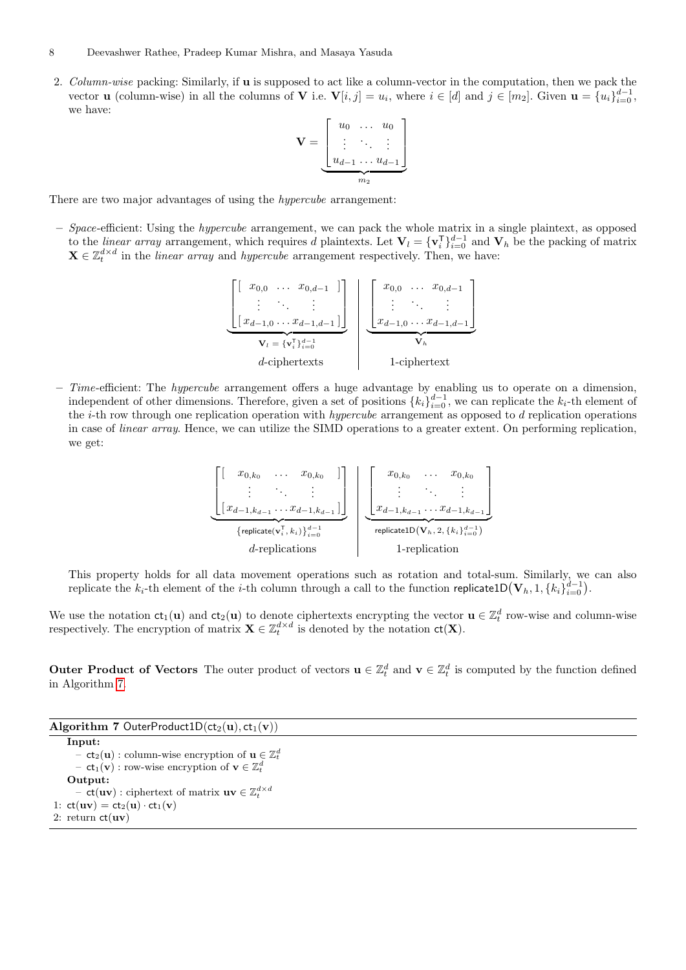#### 8 Deevashwer Rathee, Pradeep Kumar Mishra, and Masaya Yasuda

2. Column-wise packing: Similarly, if **u** is supposed to act like a column-vector in the computation, then we pack the vector **u** (column-wise) in all the columns of **V** i.e.  $\mathbf{V}[i, j] = u_i$ , where  $i \in [d]$  and  $j \in [m_2]$ . Given  $\mathbf{u} = \{u_i\}_{i=0}^{d-1}$ , we have:

$$
\mathbf{V} = \underbrace{\begin{bmatrix} u_0 & \dots & u_0 \\ \vdots & \ddots & \vdots \\ u_{d-1} & \dots & u_{d-1} \end{bmatrix}}_{m_2}
$$

There are two major advantages of using the hypercube arrangement:

 $-$  Space-efficient: Using the *hypercube* arrangement, we can pack the whole matrix in a single plaintext, as opposed to the *linear array* arrangement, which requires d plaintexts. Let  $V_l = \{v_i^T\}_{i=0}^{d-1}$  and  $V_h$  be the packing of matrix  $\mathbf{X} \in \mathbb{Z}_t^{d \times d}$  in the *linear array* and *hypercube* arrangement respectively. Then, we have:

$$
\underbrace{\begin{bmatrix} [ & x_{0,0} & \dots & x_{0,d-1} & ] \\ \vdots & \ddots & & \vdots \\ [ & x_{d-1,0} & \dots & x_{d-1,d-1} \end{bmatrix}}_{\mathbf{V}_l = \{\mathbf{v}_i^{\mathrm{T}}\}_{i=0}^{d-1}} \begin{bmatrix} x_{0,0} & \dots & x_{0,d-1} \\ \vdots & \ddots & & \vdots \\ x_{d-1,0} & \dots & x_{d-1,d-1} \end{bmatrix}}_{\mathbf{V}_h}
$$
\nd-ciphertext

– Time-efficient: The hypercube arrangement offers a huge advantage by enabling us to operate on a dimension, independent of other dimensions. Therefore, given a set of positions  $\{k_i\}_{i=0}^{d-1}$ , we can replicate the  $k_i$ -th element of the  $i$ -th row through one replication operation with *hypercube* arrangement as opposed to  $d$  replication operations in case of linear array. Hence, we can utilize the SIMD operations to a greater extent. On performing replication, we get:

$$
\underbrace{\begin{bmatrix} [x_{0,k_0} & \dots & x_{0,k_0} & ] \\ \vdots & \ddots & \vdots \\ [x_{d-1,k_{d-1}} \dots x_{d-1,k_{d-1}}] \end{bmatrix}}_{\text{{replicate}}(\mathbf{v}_i^{\mathsf{T}}, k_i)_{i=0}^{d-1}} \left| \underbrace{\begin{bmatrix} x_{0,k_0} & \dots & x_{0,k_0} \\ \vdots & \ddots & \vdots \\ x_{d-1,k_{d-1}} \dots x_{d-1,k_{d-1}} \end{bmatrix}}_{\text{replicateID}(\mathbf{V}_h, 2, \{k_i\}_{i=0}^{d-1})} \right|
$$

This property holds for all data movement operations such as rotation and total-sum. Similarly, we can also replicate the  $k_i$ -th element of the *i*-th column through a call to the function replicate1D $(\mathbf{V}_h, 1, \{k_i\}_{i=0}^{d-1})$ .

We use the notation  $ct_1(u)$  and  $ct_2(u)$  to denote ciphertexts encrypting the vector  $u \in \mathbb{Z}_t^d$  row-wise and column-wise respectively. The encryption of matrix  $\mathbf{X} \in \mathbb{Z}_t^{d \times d}$  is denoted by the notation  $ct(\mathbf{X})$ .

Outer Product of Vectors The outer product of vectors  $\mathbf{u} \in \mathbb{Z}_t^d$  and  $\mathbf{v} \in \mathbb{Z}_t^d$  is computed by the function defined in Algorithm [7.](#page-7-0)

<span id="page-7-0"></span>

| Algorithm 7 OuterProduct1D( $ct_2(u)$ , $ct_1(v)$ )                                       |  |
|-------------------------------------------------------------------------------------------|--|
| Input:                                                                                    |  |
| - $ct_2(\mathbf{u})$ : column-wise encryption of $\mathbf{u} \in \mathbb{Z}_t^d$          |  |
| $-$ ct <sub>1</sub> ( <b>v</b> ) : row-wise encryption of $\mathbf{v} \in \mathbb{Z}_t^d$ |  |
| Output:                                                                                   |  |
| - $ct(uv)$ : ciphertext of matrix $uv \in \mathbb{Z}_t^{d \times d}$                      |  |
| 1: $ct(uv) = ct_2(u) \cdot ct_1(v)$                                                       |  |
| 2: return $ct(uv)$                                                                        |  |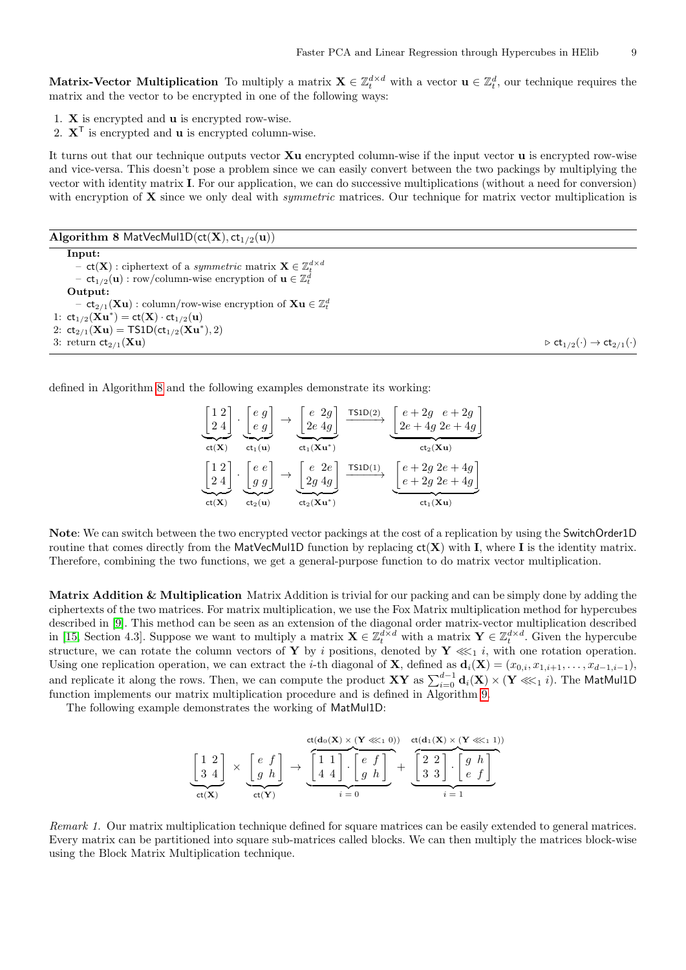Matrix-Vector Multiplication To multiply a matrix  $\mathbf{X} \in \mathbb{Z}_t^{d \times d}$  with a vector  $\mathbf{u} \in \mathbb{Z}_t^d$ , our technique requires the matrix and the vector to be encrypted in one of the following ways:

- 1. X is encrypted and u is encrypted row-wise.
- 2.  $X^{\mathsf{T}}$  is encrypted and **u** is encrypted column-wise.

It turns out that our technique outputs vector Xu encrypted column-wise if the input vector u is encrypted row-wise and vice-versa. This doesn't pose a problem since we can easily convert between the two packings by multiplying the vector with identity matrix I. For our application, we can do successive multiplications (without a need for conversion) with encryption of  $X$  since we only deal with *symmetric* matrices. Our technique for matrix vector multiplication is

Algorithm 8 MatVecMul1D( $ct(X)$ ,  $ct_{1/2}(u)$ )

<span id="page-8-0"></span>Input: -  $ct(\mathbf{X})$  : ciphertext of a symmetric matrix  $\mathbf{X} \in \mathbb{Z}_t^{d \times d}$  $-$  ct<sub>1/2</sub>(**u**): row/column-wise encryption of  $\mathbf{u} \in \mathbb{Z}_t^d$ Output: -  $ct_{2/1}(\mathbf{Xu})$  : column/row-wise encryption of  $\mathbf{Xu} \in \mathbb{Z}_t^d$ 1:  $ct_{1/2}(\mathbf{Xu}^*) = ct(\mathbf{X}) \cdot ct_{1/2}(\mathbf{u})$ 2:  $ct_{2/1}(\mathbf{Xu}) = \text{TS1D}(ct_{1/2}(\mathbf{Xu}^*), 2)$ 3: return  $ct_{2/1}(\mathbf{Xu})$   $\triangleright ct_{1/2}(\cdot) \rightarrow ct_{2/1}(\cdot)$ 

defined in Algorithm [8](#page-8-0) and the following examples demonstrate its working:

$$
\underbrace{\begin{bmatrix} 1 & 2 \\ 2 & 4 \end{bmatrix}}_{\text{ct}(X)} \cdot \underbrace{\begin{bmatrix} e & g \\ e & g \end{bmatrix}}_{\text{ct}_1(\mathbf{u})} \rightarrow \underbrace{\begin{bmatrix} e & 2g \\ 2e & 4g \end{bmatrix}}_{\text{ct}_1(\mathbf{X}\mathbf{u}^*)} \xrightarrow{\text{TSID}(2)} \underbrace{\begin{bmatrix} e + 2g & e + 2g \\ 2e + 4g & 2e + 4g \end{bmatrix}}_{\text{ct}_2(\mathbf{X}\mathbf{u})}
$$
\n
$$
\underbrace{\begin{bmatrix} 1 & 2 \\ 2 & 4 \end{bmatrix}}_{\text{ct}(X)} \cdot \underbrace{\begin{bmatrix} e & e \\ g & g \end{bmatrix}}_{\text{ct}_2(\mathbf{u})} \rightarrow \underbrace{\begin{bmatrix} e & 2e \\ 2g & 4g \end{bmatrix}}_{\text{ct}_2(\mathbf{X}\mathbf{u}^*)} \xrightarrow{\text{TSID}(1)} \underbrace{\begin{bmatrix} e + 2g & 2e + 4g \\ e + 2g & 2e + 4g \end{bmatrix}}_{\text{ct}_1(\mathbf{X}\mathbf{u})}
$$

Note: We can switch between the two encrypted vector packings at the cost of a replication by using the SwitchOrder1D routine that comes directly from the MatVecMul1D function by replacing  $ct(X)$  with I, where I is the identity matrix. Therefore, combining the two functions, we get a general-purpose function to do matrix vector multiplication.

Matrix Addition & Multiplication Matrix Addition is trivial for our packing and can be simply done by adding the ciphertexts of the two matrices. For matrix multiplication, we use the Fox Matrix multiplication method for hypercubes described in [\[9\]](#page-16-6). This method can be seen as an extension of the diagonal order matrix-vector multiplication described in [\[15,](#page-16-4) Section 4.3]. Suppose we want to multiply a matrix  $\mathbf{X} \in \mathbb{Z}_t^{d \times d}$  with a matrix  $\mathbf{Y} \in \mathbb{Z}_t^{d \times d}$ . Given the hypercube structure, we can rotate the column vectors of Y by i positions, denoted by  $Y \lll_1 i$ , with one rotation operation. Using one replication operation, we can extract the *i*-th diagonal of **X**, defined as  $\mathbf{d}_i(\mathbf{X}) = (x_{0,i}, x_{1,i+1}, \ldots, x_{d-1,i-1}),$ and replicate it along the rows. Then, we can compute the product  $XY$  as  $\sum_{i=0}^{d-1} \mathbf{d}_i(X) \times (\mathbf{Y} \lll_1 i)$ . The MatMul1D function implements our matrix multiplication procedure and is defined in Algorithm [9.](#page-9-0)

The following example demonstrates the working of MatMul1D:

$$
\underbrace{\begin{bmatrix} 1 & 2 \\ 3 & 4 \end{bmatrix}}_{\text{ct}(X)} \times \underbrace{\begin{bmatrix} e & f \\ g & h \end{bmatrix}}_{\text{ct}(Y)} \rightarrow \underbrace{\begin{bmatrix} 1 & 1 \\ 4 & 4 \end{bmatrix} \cdot \begin{bmatrix} e & f \\ g & h \end{bmatrix}}_{i=0} + \underbrace{\begin{bmatrix} 2 & 2 \\ 3 & 3 \end{bmatrix} \cdot \begin{bmatrix} g & h \\ e & f \end{bmatrix}}_{i=1}
$$

Remark 1. Our matrix multiplication technique defined for square matrices can be easily extended to general matrices. Every matrix can be partitioned into square sub-matrices called blocks. We can then multiply the matrices block-wise using the Block Matrix Multiplication technique.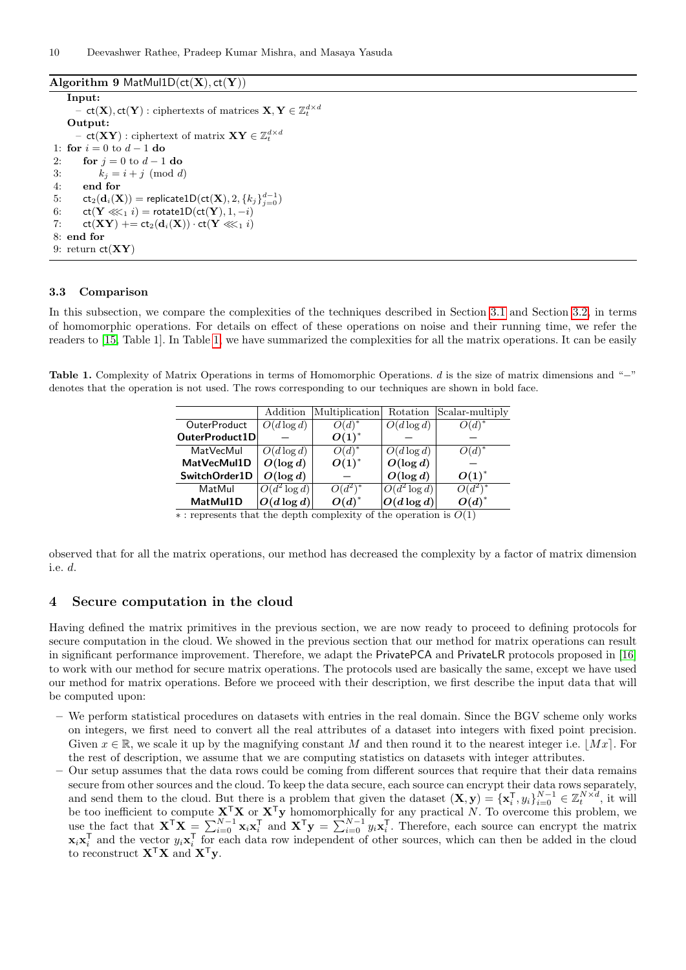Algorithm 9 MatMul1D $(ct(X), ct(Y))$ 

<span id="page-9-0"></span>Input:  $\mathsf{C} = \mathsf{ct}(\mathbf{X}), \mathsf{ct}(\mathbf{Y})$  : ciphertexts of matrices  $\mathbf{X}, \mathbf{Y} \in \mathbb{Z}_t^{d \times d}$ Output:  $\mathbf{C} = \mathsf{ct}(\mathbf{X}\mathbf{Y}) : \text{ciphertext of matrix } \mathbf{X}\mathbf{Y} \in \mathbb{Z}_t^{d \times d}$ 1: for  $i = 0$  to  $d - 1$  do 2: for  $j = 0$  to  $d - 1$  do 3:  $k_i = i + j \pmod{d}$ 4: end for 5:  $ct_2(\mathbf{d}_i(\mathbf{X}))$  = replicate1D( $ct(\mathbf{X}), 2, \{k_j\}_{j=0}^{d-1})$ 6:  $ct(Y \lll_1 i) = \text{rotate1D} (ct(Y), 1, -i)$ 7:  $ct(XY)$  +=  $ct_2(d_i(X)) \cdot ct(Y \lll_1 i)$  $8<sub>1</sub>$  end for 9: return  $ct(XY)$ 

## 3.3 Comparison

In this subsection, we compare the complexities of the techniques described in Section [3.1](#page-5-1) and Section [3.2,](#page-6-3) in terms of homomorphic operations. For details on effect of these operations on noise and their running time, we refer the readers to [\[15,](#page-16-4) Table 1]. In Table [1,](#page-9-1) we have summarized the complexities for all the matrix operations. It can be easily

<span id="page-9-1"></span>Table 1. Complexity of Matrix Operations in terms of Homomorphic Operations. d is the size of matrix dimensions and "−" denotes that the operation is not used. The rows corresponding to our techniques are shown in bold face.

|                     | Addition        | Multiplication | Rotation        | Scalar-multiply               |
|---------------------|-----------------|----------------|-----------------|-------------------------------|
| <b>OuterProduct</b> | $O(d \log d)$   | $O(d)^*$       | $O(d \log d)$   | $\overline{\mathcal{O}(d)}^*$ |
| OuterProduct1D      |                 | $O(1)^*$       |                 |                               |
| MatVecMul           | $O(d \log d)$   | $O(d)^*$       | $O(d \log d)$   | O(d)                          |
| MatVecMul1D         | $O(\log d)$     | $O(1)^{*}$     | $O(\log d)$     |                               |
| SwitchOrder1D       | $O(\log d)$     |                | $O(\log d)$     | $O(1)^*$                      |
| MatMul              | $O(d^2 \log d)$ | $O(d^2)^*$     | $O(d^2 \log d)$ |                               |
| MatMul1D            | $ O(d \log d) $ | $O(d)^*$       | $O(d \log d)$   | $O(d)^*$                      |

 $\ast$ : represents that the depth complexity of the operation is  $O(1)$ 

observed that for all the matrix operations, our method has decreased the complexity by a factor of matrix dimension i.e. d.

### <span id="page-9-2"></span>4 Secure computation in the cloud

Having defined the matrix primitives in the previous section, we are now ready to proceed to defining protocols for secure computation in the cloud. We showed in the previous section that our method for matrix operations can result in significant performance improvement. Therefore, we adapt the PrivatePCA and PrivateLR protocols proposed in [\[16\]](#page-17-8) to work with our method for secure matrix operations. The protocols used are basically the same, except we have used our method for matrix operations. Before we proceed with their description, we first describe the input data that will be computed upon:

- We perform statistical procedures on datasets with entries in the real domain. Since the BGV scheme only works on integers, we first need to convert all the real attributes of a dataset into integers with fixed point precision. Given  $x \in \mathbb{R}$ , we scale it up by the magnifying constant M and then round it to the nearest integer i.e.  $|Mx|$ . For the rest of description, we assume that we are computing statistics on datasets with integer attributes.
- Our setup assumes that the data rows could be coming from different sources that require that their data remains secure from other sources and the cloud. To keep the data secure, each source can encrypt their data rows separately, and send them to the cloud. But there is a problem that given the dataset  $(\mathbf{X}, \mathbf{y}) = {\{\mathbf{x}_i^{\mathrm{T}}, y_i\}}_{i=0}^{N-1} \in \mathbb{Z}_t^{N \times d}$ , it will be too inefficient to compute  $X^{\mathsf{T}}X$  or  $X^{\mathsf{T}}y$  homomorphically for any practical N. To overcome this problem, we use the fact that  $X^{\mathsf{T}}X = \sum_{i=0}^{N-1} x_i x_i^{\mathsf{T}}$  and  $X^{\mathsf{T}}y = \sum_{i=0}^{N-1} y_i x_i^{\mathsf{T}}$ . Therefore, each source can encrypt the matrix  $\mathbf{x}_i \mathbf{x}_i^{\mathsf{T}}$  and the vector  $y_i \mathbf{x}_i^{\mathsf{T}}$  for each data row independent of other sources, which can then be added in the cloud to reconstruct  $X^{\mathsf{T}}X$  and  $X^{\mathsf{T}}y$ .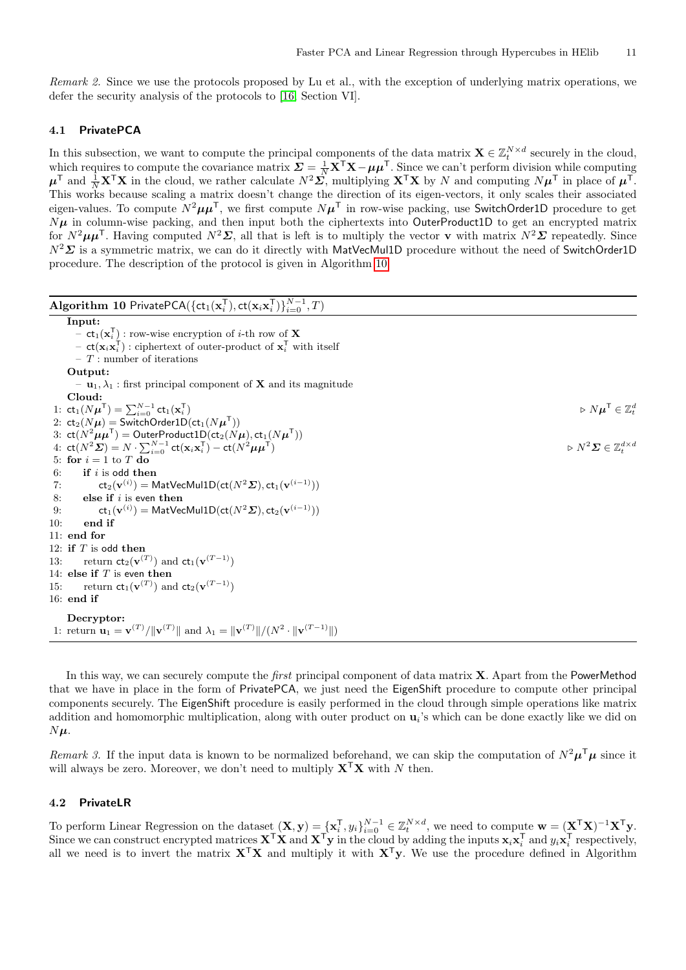Remark 2. Since we use the protocols proposed by Lu et al., with the exception of underlying matrix operations, we defer the security analysis of the protocols to [\[16,](#page-17-8) Section VI].

## <span id="page-10-1"></span>4.1 PrivatePCA

In this subsection, we want to compute the principal components of the data matrix  $\mathbf{X} \in \mathbb{Z}_t^{N \times d}$  securely in the cloud, which requires to compute the covariance matrix  $\Sigma = \frac{1}{N} \mathbf{X}^\top \mathbf{X} - \mu \mu^\top$ . Since we can't perform division while computing  $\mu^{\mathsf{T}}$  and  $\frac{1}{N} \mathbf{X}^{\mathsf{T}} \mathbf{X}$  in the cloud, we rather calculate  $N^2 \Sigma$ , multiplying  $\mathbf{X}^{\mathsf{T}} \mathbf{X}$  by N and computing  $N \mu^{\mathsf{T}}$  in place of  $\mu^{\mathsf{T}}$ . This works because scaling a matrix doesn't change the direction of its eigen-vectors, it only scales their associated eigen-values. To compute  $N^2\mu\mu^{\sf T}$ , we first compute  $N\mu^{\sf T}$  in row-wise packing, use SwitchOrder1D procedure to get  $N\mu$  in column-wise packing, and then input both the ciphertexts into OuterProduct1D to get an encrypted matrix for  $N^2\mu\mu^T$ . Having computed  $N^2\mathcal{L}$ , all that is left is to multiply the vector **v** with matrix  $N^2\mathcal{L}$  repeatedly. Since  $N^2\Sigma$  is a symmetric matrix, we can do it directly with MatVecMul1D procedure without the need of SwitchOrder1D procedure. The description of the protocol is given in Algorithm [10.](#page-10-0)

<span id="page-10-0"></span>

| Algorithm 10 PrivatePCA({ $ct_1(x_i^T)$ , $ct(x_i x_i^T)$ } $_{i=0}^{N-1}$ , T)                                                            |                                                                         |
|--------------------------------------------------------------------------------------------------------------------------------------------|-------------------------------------------------------------------------|
| Input:                                                                                                                                     |                                                                         |
| $-$ ct <sub>1</sub> ( $\mathbf{x}_i^T$ ) : row-wise encryption of <i>i</i> -th row of <b>X</b>                                             |                                                                         |
| - $ct(\mathbf{x}_i \mathbf{x}_i^{\mathsf{T}})$ : ciphertext of outer-product of $\mathbf{x}_i^{\mathsf{T}}$ with itself                    |                                                                         |
| $-$ T : number of iterations                                                                                                               |                                                                         |
| Output:                                                                                                                                    |                                                                         |
| $-$ <b>u</b> <sub>1</sub> , $\lambda$ <sub>1</sub> : first principal component of <b>X</b> and its magnitude                               |                                                                         |
| Cloud:                                                                                                                                     |                                                                         |
| 1: $ct_1(N\mu^{\mathsf{T}}) = \sum_{i=0}^{N-1} ct_1(\mathbf{x}_i^{\mathsf{T}})$                                                            | $\triangleright N \boldsymbol{\mu}^{\mathsf{T}} \in \mathbb{Z}^d_t$     |
| 2: $ct_2(N\mu)$ = SwitchOrder1D( $ct_1(N\mu^{\mathsf{T}})$ )                                                                               |                                                                         |
| 3: $ct(N^2 \mu \mu^T)$ = OuterProduct1D(ct <sub>2</sub> (N $\mu$ ), ct <sub>1</sub> (N $\mu^T$ ))                                          |                                                                         |
| 4: $ct(N^2\Sigma) = N \cdot \sum_{i=0}^{N-1} ct(\mathbf{x}_i \mathbf{x}_i^{\mathsf{T}}) - ct(N^2 \mu \mu^{\mathsf{T}})$                    | $\triangleright N^2 \mathbf{\Sigma} \in \mathbb{Z}_{\ell}^{d \times d}$ |
| 5: for $i = 1$ to T do                                                                                                                     |                                                                         |
| if $i$ is odd then<br>6:                                                                                                                   |                                                                         |
| $ct_2(\mathbf{v}^{(i)}) = \text{MatVecMul1D}(\text{ct}(N^2\mathbf{\Sigma}), ct_1(\mathbf{v}^{(i-1)}))$<br>7:                               |                                                                         |
| 8:<br>else if $i$ is even then                                                                                                             |                                                                         |
| $\mathsf{ct}_1(\mathbf{v}^{(i)}) = \mathsf{MatVecMul1D}(\mathsf{ct}(N^2\boldsymbol{\varSigma}), \mathsf{ct}_2(\mathbf{v}^{(i-1)}))$<br>9:  |                                                                         |
| end if<br>10:                                                                                                                              |                                                                         |
| $11:$ end for                                                                                                                              |                                                                         |
| 12: if $T$ is odd then                                                                                                                     |                                                                         |
| 13: return $ct_2(\mathbf{v}^{(T)})$ and $ct_1(\mathbf{v}^{(T-1)})$                                                                         |                                                                         |
| 14: else if $T$ is even then                                                                                                               |                                                                         |
| 15: return $ct_1(\mathbf{v}^{(T)})$ and $ct_2(\mathbf{v}^{(T-1)})$                                                                         |                                                                         |
| $16:$ end if                                                                                                                               |                                                                         |
| Decryptor:                                                                                                                                 |                                                                         |
| 1: return $\mathbf{u}_1 = \mathbf{v}^{(T)}/\ \mathbf{v}^{(T)}\ $ and $\lambda_1 = \ \mathbf{v}^{(T)}\ /(N^2 \cdot \ \mathbf{v}^{(T-1)}\ )$ |                                                                         |

In this way, we can securely compute the *first* principal component of data matrix **X**. Apart from the PowerMethod that we have in place in the form of PrivatePCA, we just need the EigenShift procedure to compute other principal components securely. The EigenShift procedure is easily performed in the cloud through simple operations like matrix addition and homomorphic multiplication, along with outer product on  $\mathbf{u}_i$ 's which can be done exactly like we did on  $N\mu$ .

Remark 3. If the input data is known to be normalized beforehand, we can skip the computation of  $N^2\mu^T\mu$  since it will always be zero. Moreover, we don't need to multiply  $X<sup>T</sup>X$  with N then.

### <span id="page-10-2"></span>4.2 PrivateLR

To perform Linear Regression on the dataset  $(\mathbf{X}, \mathbf{y}) = {\{\mathbf{x}_i^{\mathsf{T}}, y_i\}_{i=0}^{N-1} \in \mathbb{Z}_t^{N \times d}}$ , we need to compute  $\mathbf{w} = (\mathbf{X}^{\mathsf{T}} \mathbf{X})^{-1} \mathbf{X}^{\mathsf{T}} \mathbf{y}$ . Since we can construct encrypted matrices  $X^{\top}X$  and  $X^{\top}y$  in the cloud by adding the inputs  $x_i x_i^{\top}$  and  $y_i x_i^{\top}$  respectively, all we need is to invert the matrix  $X^{\mathsf{T}}X$  and multiply it with  $X^{\mathsf{T}}y$ . We use the procedure defined in Algorithm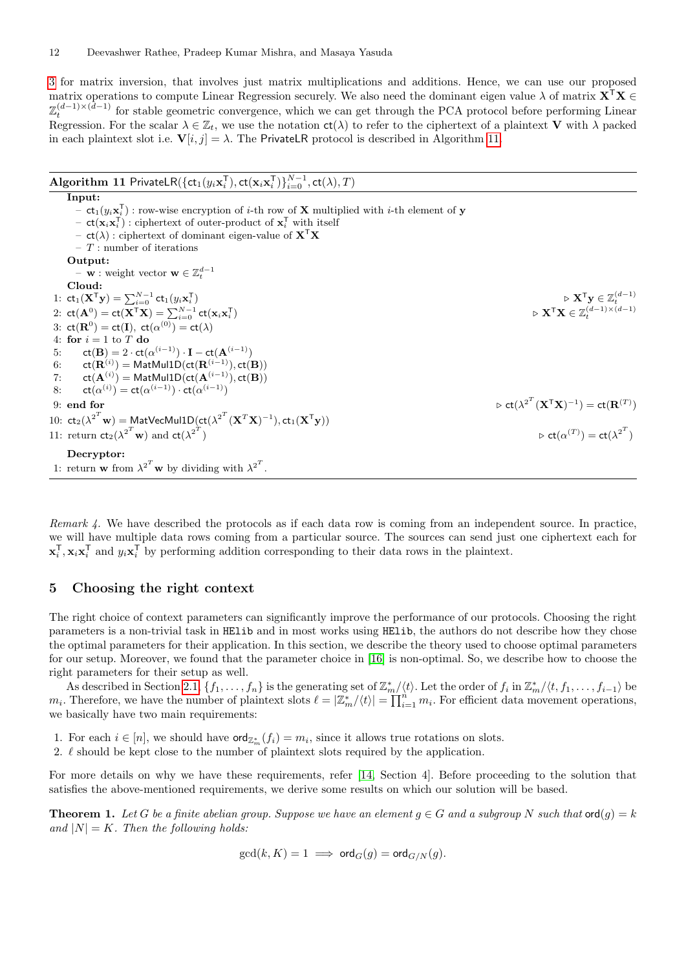[3](#page-5-0) for matrix inversion, that involves just matrix multiplications and additions. Hence, we can use our proposed matrix operations to compute Linear Regression securely. We also need the dominant eigen value  $\lambda$  of matrix  $X^{\top}X \in$  $\mathbb{Z}_t^{(d-1)\times(d-1)}$  for stable geometric convergence, which we can get through the PCA protocol before performing Linear Regression. For the scalar  $\lambda \in \mathbb{Z}_t$ , we use the notation  $ct(\lambda)$  to refer to the ciphertext of a plaintext V with  $\lambda$  packed in each plaintext slot i.e.  $V[i, j] = \lambda$ . The PrivateLR protocol is described in Algorithm [11.](#page-11-0)

<span id="page-11-0"></span>

| <b>Algorithm 11 PrivateLR</b> ({ $ct_1(y_i\mathbf{x}_i^T)$ , $ct(\mathbf{x}_i\mathbf{x}_i^T)$ } $_{i=0}^{N-1}$ , $ct(\lambda)$ , $T$ )                                                                                                                                                                                                                                                                                                                                                                                                                               |                                                                                                                                                                                 |
|----------------------------------------------------------------------------------------------------------------------------------------------------------------------------------------------------------------------------------------------------------------------------------------------------------------------------------------------------------------------------------------------------------------------------------------------------------------------------------------------------------------------------------------------------------------------|---------------------------------------------------------------------------------------------------------------------------------------------------------------------------------|
| Input:<br>$-$ ct <sub>1</sub> ( $y_i$ <b>x</b> <sub>i</sub> <sup>T</sup> ) : row-wise encryption of <i>i</i> -th row of <b>X</b> multiplied with <i>i</i> -th element of <b>y</b><br>$-$ ct( $\mathbf{x}_i \mathbf{x}_i^T$ ) : ciphertext of outer-product of $\mathbf{x}_i^T$ with itself<br>$-$ ct( $\lambda$ ) : ciphertext of dominant eigen-value of $X^{\top}X$<br>$-$ T : number of iterations<br>Output:<br>$- \mathbf{w}$ : weight vector $\mathbf{w} \in \mathbb{Z}_t^{d-1}$                                                                               |                                                                                                                                                                                 |
| Cloud:<br>1: $ct_1(X^Ty) = \sum_{i=0}^{N-1} ct_1(y_i x_i^T)$<br>2: $ct(\mathbf{A}^0) = ct(\mathbf{X}^T\mathbf{X}) = \sum_{i=0}^{N-1} ct(\mathbf{x}_i\mathbf{x}_i^T)$<br>3: $ct(\mathbf{R}^0) = ct(\mathbf{I})$ , $ct(\alpha^{(0)}) = ct(\lambda)$<br>4: for $i = 1$ to T do<br>$ct(\mathbf{B}) = 2 \cdot ct(\alpha^{(i-1)}) \cdot \mathbf{I} - ct(\mathbf{A}^{(i-1)})$<br>5:<br>6: $ct(\mathbf{R}^{(i)}) = \text{MatMul1D}(\text{ct}(\mathbf{R}^{(i-1)}), ct(\mathbf{B}))$<br>7: $ct(\mathbf{A}^{(i)}) = \mathsf{MatMul1D} (ct(\mathbf{A}^{(i-1)}), ct(\mathbf{B}))$ | $\triangleright \mathbf{X}^{\mathsf{T}} \mathbf{y} \in \mathbb{Z}_t^{(d-1)}$<br>$\triangleright \mathbf{X}^{\mathsf{T}} \mathbf{X} \in \mathbb{Z}_{\star}^{(d-1) \times (d-1)}$ |
| 8: $ct(\alpha^{(i)}) = ct(\alpha^{(i-1)}) \cdot ct(\alpha^{(i-1)})$<br>9: end for<br>10: $ct_2(\lambda^{2^T} w) = MatVecMul1D(ct(\lambda^{2^T} (\mathbf{X}^T \mathbf{X})^{-1}), ct_1(\mathbf{X}^T \mathbf{y}))$<br>11: return $ct_2(\lambda^{2^T} w)$ and $ct(\lambda^{2^T})$<br>Decryptor:<br>1: return <b>w</b> from $\lambda^{2^T}$ <b>w</b> by dividing with $\lambda^{2^T}$ .                                                                                                                                                                                   | $\triangleright$ ct( $\lambda^{2^T}$ $(\mathbf{X}^T\mathbf{X})^{-1}$ ) = ct( $\mathbf{R}^{(T)}$ )<br>$\triangleright$ ct $(\alpha^{(T)})$ = ct $(\lambda^{2^T})$                |

Remark  $\sharp$ . We have described the protocols as if each data row is coming from an independent source. In practice, we will have multiple data rows coming from a particular source. The sources can send just one ciphertext each for  $\mathbf{x}_i^{\mathsf{T}}, \mathbf{x}_i \mathbf{x}_i^{\mathsf{T}}$  and  $y_i \mathbf{x}_i^{\mathsf{T}}$  by performing addition corresponding to their data rows in the plaintext.

### <span id="page-11-2"></span>5 Choosing the right context

The right choice of context parameters can significantly improve the performance of our protocols. Choosing the right parameters is a non-trivial task in HElib and in most works using HElib, the authors do not describe how they chose the optimal parameters for their application. In this section, we describe the theory used to choose optimal parameters for our setup. Moreover, we found that the parameter choice in [\[16\]](#page-17-8) is non-optimal. So, we describe how to choose the right parameters for their setup as well.

As described in Section [2.1,](#page-1-0)  $\{f_1, \ldots, f_n\}$  is the generating set of  $\mathbb{Z}_m^*/\langle t \rangle$ . Let the order of  $f_i$  in  $\mathbb{Z}_m^*/\langle t, f_1, \ldots, f_{i-1} \rangle$  be  $m_i$ . Therefore, we have the number of plaintext slots  $\ell = |\mathbb{Z}_m^*/\langle t \rangle| = \prod_{i=1}^n m_i$ . For efficient data movement operations, we basically have two main requirements:

- 1. For each  $i \in [n]$ , we should have  $\text{ord}_{\mathbb{Z}_m^*}(f_i) = m_i$ , since it allows true rotations on slots.
- 2.  $\ell$  should be kept close to the number of plaintext slots required by the application.

For more details on why we have these requirements, refer [\[14,](#page-16-2) Section 4]. Before proceeding to the solution that satisfies the above-mentioned requirements, we derive some results on which our solution will be based.

<span id="page-11-1"></span>**Theorem 1.** Let G be a finite abelian group. Suppose we have an element  $g \in G$  and a subgroup N such that  $\text{ord}(g) = k$ and  $|N| = K$ . Then the following holds:

$$
\gcd(k,K)=1 \implies \text{ord}_G(g)=\text{ord}_{G/N}(g).
$$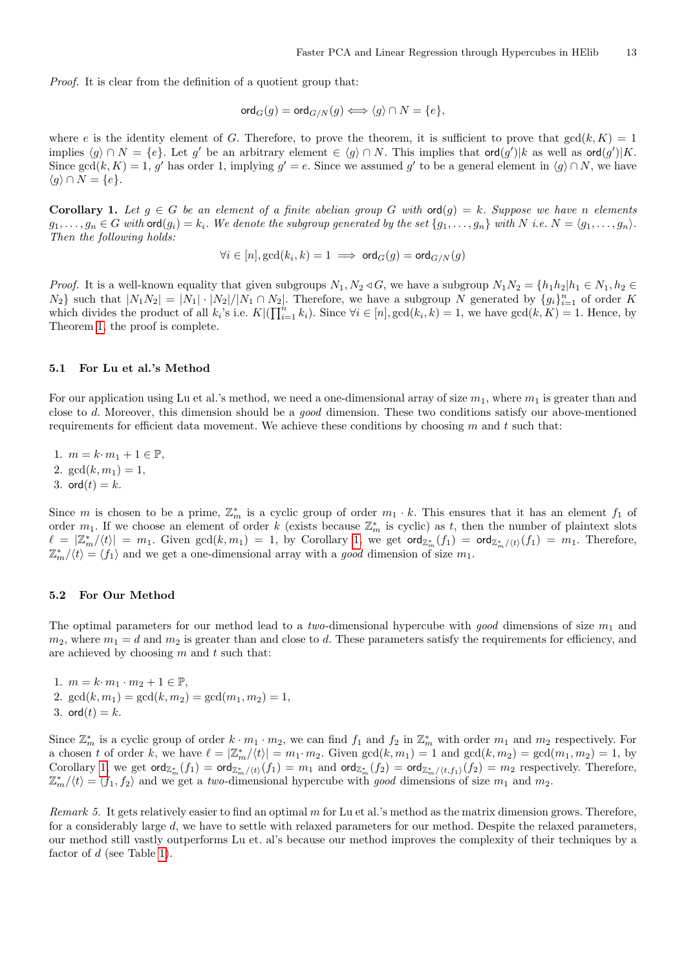Proof. It is clear from the definition of a quotient group that:

$$
\operatorname{ord}_G(g)=\operatorname{ord}_{G/N}(g)\Longleftrightarrow \langle g\rangle\cap N=\{e\},
$$

where e is the identity element of G. Therefore, to prove the theorem, it is sufficient to prove that  $gcd(k, K) = 1$ implies  $\langle g \rangle \cap N = \{e\}$ . Let g' be an arbitrary element  $\in \langle g \rangle \cap N$ . This implies that ord $(g')|k$  as well as ord $(g')|K$ . Since  $gcd(k, K) = 1$ , g' has order 1, implying  $g' = e$ . Since we assumed g' to be a general element in  $\langle g \rangle \cap N$ , we have  $\langle g \rangle \cap N = \{e\}.$ 

<span id="page-12-0"></span>Corollary 1. Let  $g \in G$  be an element of a finite abelian group G with  $\text{ord}(g) = k$ . Suppose we have n elements  $g_1, \ldots, g_n \in G$  with  $\text{ord}(g_i) = k_i$ . We denote the subgroup generated by the set  $\{g_1, \ldots, g_n\}$  with  $N$  i.e.  $N = \langle g_1, \ldots, g_n \rangle$ . Then the following holds:

$$
\forall i \in [n], \gcd(k_i, k) = 1 \implies \mathsf{ord}_G(g) = \mathsf{ord}_{G/N}(g)
$$

*Proof.* It is a well-known equality that given subgroups  $N_1, N_2 \triangleleft G$ , we have a subgroup  $N_1N_2 = \{h_1h_2|h_1 \in N_1, h_2 \in G\}$  $N_2$ } such that  $|N_1N_2| = |N_1| \cdot |N_2|/|N_1 \cap N_2|$ . Therefore, we have a subgroup N generated by  $\{g_i\}_{i=1}^n$  of order K which divides the product of all  $k_i$ 's i.e.  $K\left(\prod_{i=1}^n k_i\right)$ . Since  $\forall i \in [n]$ ,  $\gcd(k_i, k) = 1$ , we have  $\gcd(k, K) = 1$ . Hence, by Theorem [1,](#page-11-1) the proof is complete.

#### 5.1 For Lu et al.'s Method

For our application using Lu et al.'s method, we need a one-dimensional array of size  $m_1$ , where  $m_1$  is greater than and close to d. Moreover, this dimension should be a good dimension. These two conditions satisfy our above-mentioned requirements for efficient data movement. We achieve these conditions by choosing  $m$  and  $t$  such that:

1.  $m = k \cdot m_1 + 1 \in \mathbb{P}$ , 2.  $gcd(k, m_1) = 1$ , 3. ord $(t) = k$ .

Since m is chosen to be a prime,  $\mathbb{Z}_m^*$  is a cyclic group of order  $m_1 \cdot k$ . This ensures that it has an element  $f_1$  of order  $m_1$ . If we choose an element of order k (exists because  $\mathbb{Z}_m^*$  is cyclic) as t, then the number of plaintext slots  $\ell = |Z_m^*/\langle t \rangle | = m_1$ . Given  $gcd(k, m_1) = 1$ , by Corollary [1,](#page-12-0) we get  $\text{ord}_{Z_m^*}(f_1) = \text{ord}_{Z_m^*/\langle t \rangle}(f_1) = m_1$ . Therefore,  $\mathbb{Z}_{m}^{*}/\langle t \rangle = \langle f_{1} \rangle$  and we get a one-dimensional array with a good dimension of size  $m_{1}$ .

#### 5.2 For Our Method

The optimal parameters for our method lead to a two-dimensional hypercube with good dimensions of size  $m_1$  and  $m_2$ , where  $m_1 = d$  and  $m_2$  is greater than and close to d. These parameters satisfy the requirements for efficiency, and are achieved by choosing  $m$  and  $t$  such that:

1.  $m = k \cdot m_1 \cdot m_2 + 1 \in \mathbb{P}$ , 2.  $gcd(k, m_1) = gcd(k, m_2) = gcd(m_1, m_2) = 1$ , 3. ord $(t) = k$ .

Since  $\mathbb{Z}_m^*$  is a cyclic group of order  $k \cdot m_1 \cdot m_2$ , we can find  $f_1$  and  $f_2$  in  $\mathbb{Z}_m^*$  with order  $m_1$  and  $m_2$  respectively. For a chosen t of order k, we have  $\ell = |\mathbb{Z}_m^*/\langle t \rangle| = m_1 \cdot m_2$ . Given  $gcd(k, m_1) = 1$  and  $gcd(k, m_2) = gcd(m_1, m_2) = 1$ , by Corollary [1,](#page-12-0) we get  $\textsf{ord}_{\mathbb{Z}_m^*}(f_1) = \textsf{ord}_{\mathbb{Z}_m^*/\langle t\rangle}(f_1) = m_1$  and  $\textsf{ord}_{\mathbb{Z}_m^*}(f_2) = \textsf{ord}_{\mathbb{Z}_m^*/\langle t,f_1\rangle}(f_2) = m_2$  respectively. Therefore,  $\mathbb{Z}_{m}^{*}/\langle t \rangle = \langle f_1, f_2 \rangle$  and we get a two-dimensional hypercube with good dimensions of size  $m_1$  and  $m_2$ .

Remark 5. It gets relatively easier to find an optimal m for Lu et al.'s method as the matrix dimension grows. Therefore, for a considerably large d, we have to settle with relaxed parameters for our method. Despite the relaxed parameters, our method still vastly outperforms Lu et. al's because our method improves the complexity of their techniques by a factor of  $d$  (see Table [1\)](#page-9-1).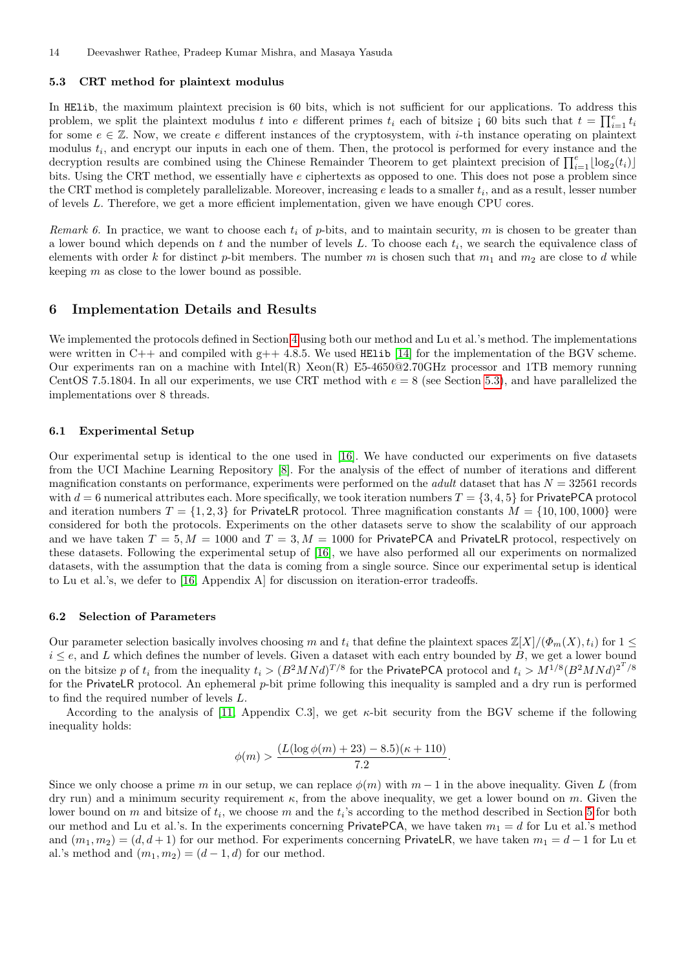#### <span id="page-13-0"></span>5.3 CRT method for plaintext modulus

In HElib, the maximum plaintext precision is 60 bits, which is not sufficient for our applications. To address this problem, we split the plaintext modulus t into e different primes  $t_i$  each of bitsize  $\mathfrak{g}$  60 bits such that  $t = \prod_{i=1}^e t_i$ for some  $e \in \mathbb{Z}$ . Now, we create e different instances of the cryptosystem, with *i*-th instance operating on plaintext modulus  $t_i$ , and encrypt our inputs in each one of them. Then, the protocol is performed for every instance and the decryption results are combined using the Chinese Remainder Theorem to get plaintext precision of  $\prod_{i=1}^{e} \lfloor \log_2(t_i) \rfloor$ bits. Using the CRT method, we essentially have e ciphertexts as opposed to one. This does not pose a problem since the CRT method is completely parallelizable. Moreover, increasing  $e$  leads to a smaller  $t_i$ , and as a result, lesser number of levels L. Therefore, we get a more efficient implementation, given we have enough CPU cores.

Remark 6. In practice, we want to choose each  $t_i$  of p-bits, and to maintain security, m is chosen to be greater than a lower bound which depends on  $t$  and the number of levels  $L$ . To choose each  $t_i$ , we search the equivalence class of elements with order k for distinct p-bit members. The number m is chosen such that  $m_1$  and  $m_2$  are close to d while keeping  $m$  as close to the lower bound as possible.

### 6 Implementation Details and Results

We implemented the protocols defined in Section [4](#page-9-2) using both our method and Lu et al.'s method. The implementations were written in  $C++$  and compiled with  $g++$  4.8.5. We used HElib [\[14\]](#page-16-2) for the implementation of the BGV scheme. Our experiments ran on a machine with Intel(R) Xeon(R) E5-4650@2.70GHz processor and 1TB memory running CentOS 7.5.1804. In all our experiments, we use CRT method with  $e = 8$  (see Section [5.3\)](#page-13-0), and have parallelized the implementations over 8 threads.

#### 6.1 Experimental Setup

Our experimental setup is identical to the one used in [\[16\]](#page-17-8). We have conducted our experiments on five datasets from the UCI Machine Learning Repository [\[8\]](#page-16-7). For the analysis of the effect of number of iterations and different magnification constants on performance, experiments were performed on the *adult* dataset that has  $N = 32561$  records with  $d = 6$  numerical attributes each. More specifically, we took iteration numbers  $T = \{3, 4, 5\}$  for PrivatePCA protocol and iteration numbers  $T = \{1, 2, 3\}$  for Privatel R protocol. Three magnification constants  $M = \{10, 100, 1000\}$  were considered for both the protocols. Experiments on the other datasets serve to show the scalability of our approach and we have taken  $T = 5, M = 1000$  and  $T = 3, M = 1000$  for PrivatePCA and PrivateLR protocol, respectively on these datasets. Following the experimental setup of [\[16\]](#page-17-8), we have also performed all our experiments on normalized datasets, with the assumption that the data is coming from a single source. Since our experimental setup is identical to Lu et al.'s, we defer to [\[16,](#page-17-8) Appendix A] for discussion on iteration-error tradeoffs.

#### 6.2 Selection of Parameters

Our parameter selection basically involves choosing m and  $t_i$  that define the plaintext spaces  $\mathbb{Z}[X]/(\Phi_m(X), t_i)$  for  $1 \leq$  $i \leq e$ , and L which defines the number of levels. Given a dataset with each entry bounded by B, we get a lower bound on the bitsize p of  $t_i$  from the inequality  $t_i > (B^2MNd)^{T/8}$  for the PrivatePCA protocol and  $t_i > M^{1/8}(B^2MNd)^{2^T/8}$ for the PrivateLR protocol. An ephemeral p-bit prime following this inequality is sampled and a dry run is performed to find the required number of levels L.

According to the analysis of [\[11,](#page-16-1) Appendix C.3], we get  $\kappa$ -bit security from the BGV scheme if the following inequality holds:

$$
\phi(m) > \frac{(L(\log \phi(m) + 23) - 8.5)(\kappa + 110)}{7.2}.
$$

Since we only choose a prime m in our setup, we can replace  $\phi(m)$  with  $m-1$  in the above inequality. Given L (from dry run) and a minimum security requirement  $\kappa$ , from the above inequality, we get a lower bound on m. Given the lower bound on m and bitsize of  $t_i$ , we choose m and the  $t_i$ 's according to the method described in Section [5](#page-11-2) for both our method and Lu et al.'s. In the experiments concerning PrivatePCA, we have taken  $m_1 = d$  for Lu et al.'s method and  $(m_1, m_2) = (d, d + 1)$  for our method. For experiments concerning PrivateLR, we have taken  $m_1 = d - 1$  for Lu et al.'s method and  $(m_1, m_2) = (d - 1, d)$  for our method.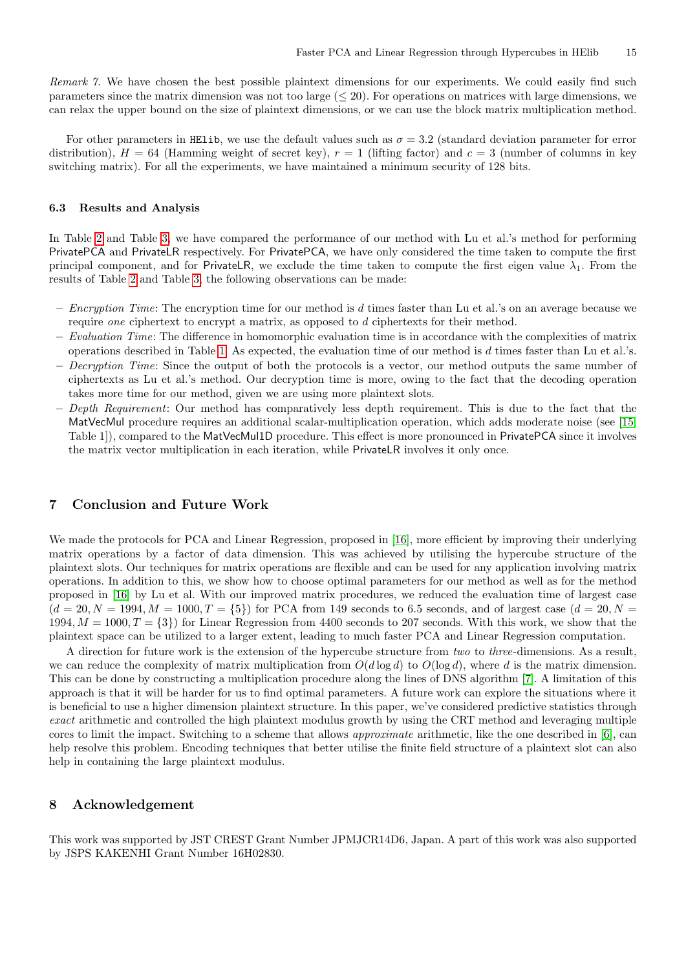Remark 7. We have chosen the best possible plaintext dimensions for our experiments. We could easily find such parameters since the matrix dimension was not too large  $( $20$ ). For operations on matrices with large dimensions, we$ can relax the upper bound on the size of plaintext dimensions, or we can use the block matrix multiplication method.

For other parameters in HElib, we use the default values such as  $\sigma = 3.2$  (standard deviation parameter for error distribution),  $H = 64$  (Hamming weight of secret key),  $r = 1$  (lifting factor) and  $c = 3$  (number of columns in key switching matrix). For all the experiments, we have maintained a minimum security of 128 bits.

#### 6.3 Results and Analysis

In Table [2](#page-15-5) and Table [3,](#page-16-8) we have compared the performance of our method with Lu et al.'s method for performing PrivatePCA and PrivateLR respectively. For PrivatePCA, we have only considered the time taken to compute the first principal component, and for PrivateLR, we exclude the time taken to compute the first eigen value  $\lambda_1$ . From the results of Table [2](#page-15-5) and Table [3,](#page-16-8) the following observations can be made:

- $-$  Encryption Time: The encryption time for our method is  $d$  times faster than Lu et al.'s on an average because we require *one* ciphertext to encrypt a matrix, as opposed to d ciphertexts for their method.
- Evaluation Time: The difference in homomorphic evaluation time is in accordance with the complexities of matrix operations described in Table [1.](#page-9-1) As expected, the evaluation time of our method is  $d$  times faster than Lu et al.'s.
- $-$  Decryption Time: Since the output of both the protocols is a vector, our method outputs the same number of ciphertexts as Lu et al.'s method. Our decryption time is more, owing to the fact that the decoding operation takes more time for our method, given we are using more plaintext slots.
- $-$  Depth Requirement: Our method has comparatively less depth requirement. This is due to the fact that the MatVecMul procedure requires an additional scalar-multiplication operation, which adds moderate noise (see [\[15,](#page-16-4) Table 1]), compared to the MatVecMul1D procedure. This effect is more pronounced in PrivatePCA since it involves the matrix vector multiplication in each iteration, while PrivateLR involves it only once.

### 7 Conclusion and Future Work

We made the protocols for PCA and Linear Regression, proposed in [\[16\]](#page-17-8), more efficient by improving their underlying matrix operations by a factor of data dimension. This was achieved by utilising the hypercube structure of the plaintext slots. Our techniques for matrix operations are flexible and can be used for any application involving matrix operations. In addition to this, we show how to choose optimal parameters for our method as well as for the method proposed in [\[16\]](#page-17-8) by Lu et al. With our improved matrix procedures, we reduced the evaluation time of largest case  $(d = 20, N = 1994, M = 1000, T = \{5\})$  for PCA from 149 seconds to 6.5 seconds, and of largest case  $(d = 20, N = 1000, T = \{5\})$ 1994,  $M = 1000, T = \{3\}$  for Linear Regression from 4400 seconds to 207 seconds. With this work, we show that the plaintext space can be utilized to a larger extent, leading to much faster PCA and Linear Regression computation.

A direction for future work is the extension of the hypercube structure from two to three-dimensions. As a result, we can reduce the complexity of matrix multiplication from  $O(d \log d)$  to  $O(\log d)$ , where d is the matrix dimension. This can be done by constructing a multiplication procedure along the lines of DNS algorithm [\[7\]](#page-16-9). A limitation of this approach is that it will be harder for us to find optimal parameters. A future work can explore the situations where it is beneficial to use a higher dimension plaintext structure. In this paper, we've considered predictive statistics through exact arithmetic and controlled the high plaintext modulus growth by using the CRT method and leveraging multiple cores to limit the impact. Switching to a scheme that allows approximate arithmetic, like the one described in [\[6\]](#page-15-6), can help resolve this problem. Encoding techniques that better utilise the finite field structure of a plaintext slot can also help in containing the large plaintext modulus.

## 8 Acknowledgement

This work was supported by JST CREST Grant Number JPMJCR14D6, Japan. A part of this work was also supported by JSPS KAKENHI Grant Number 16H02830.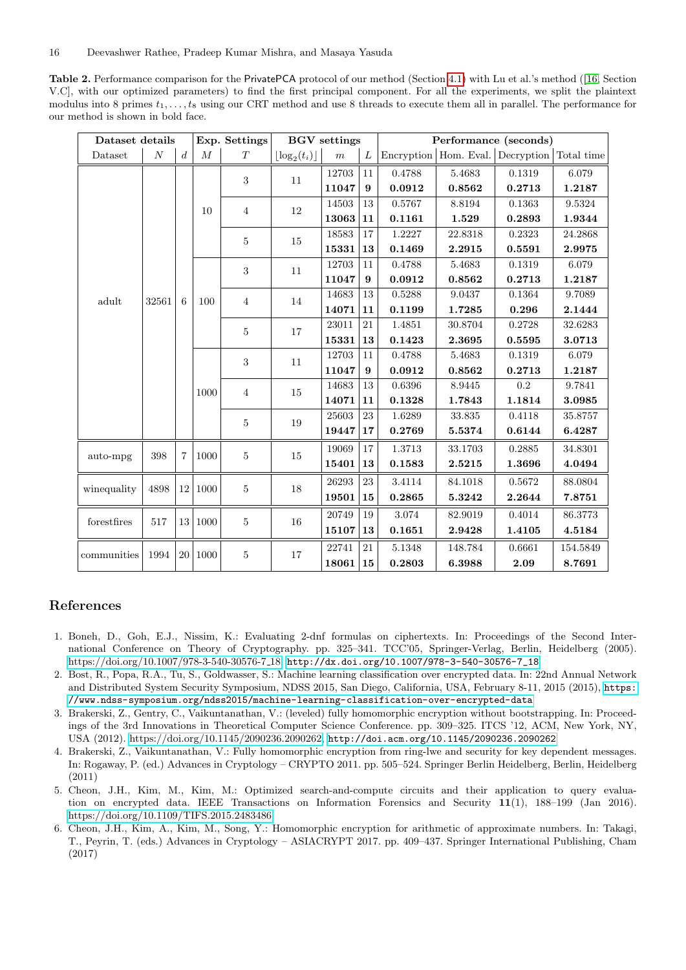<span id="page-15-5"></span>Table 2. Performance comparison for the PrivatePCA protocol of our method (Section [4.1\)](#page-10-1) with Lu et al.'s method ([\[16,](#page-17-8) Section V.C], with our optimized parameters) to find the first principal component. For all the experiments, we split the plaintext modulus into 8 primes  $t_1, \ldots, t_8$  using our CRT method and use 8 threads to execute them all in parallel. The performance for our method is shown in bold face.

| Dataset details |          |                  |          | Exp. Settings  | <b>BGV</b> settings           |                  |    | Performance (seconds) |                         |            |            |
|-----------------|----------|------------------|----------|----------------|-------------------------------|------------------|----|-----------------------|-------------------------|------------|------------|
| Dataset         | $\cal N$ | $\boldsymbol{d}$ | $\cal M$ | $\cal T$       | $\lfloor \log_2(t_i) \rfloor$ | $\boldsymbol{m}$ | L  |                       | Encryption   Hom. Eval. | Decryption | Total time |
|                 |          |                  |          | 3              | 11                            | 12703            | 11 | 0.4788                | 5.4683                  | 0.1319     | 6.079      |
|                 |          |                  |          |                |                               | 11047            | 9  | 0.0912                | 0.8562                  | 0.2713     | 1.2187     |
|                 |          |                  | 10       | $\overline{4}$ | 12                            | 14503            | 13 | 0.5767                | 8.8194                  | 0.1363     | 9.5324     |
|                 |          |                  |          |                |                               | 13063            | 11 | 0.1161                | 1.529                   | 0.2893     | 1.9344     |
|                 |          |                  |          | 5              | 15                            | 18583            | 17 | 1.2227                | 22.8318                 | 0.2323     | 24.2868    |
|                 |          |                  |          |                |                               | 15331            | 13 | 0.1469                | 2.2915                  | 0.5591     | 2.9975     |
|                 |          |                  |          | 3              | 11                            | 12703            | 11 | 0.4788                | 5.4683                  | 0.1319     | 6.079      |
|                 |          |                  |          |                |                               | 11047            | 9  | 0.0912                | 0.8562                  | 0.2713     | 1.2187     |
| adult           | 32561    | 6                | 100      | $\overline{4}$ | 14                            | 14683            | 13 | 0.5288                | 9.0437                  | 0.1364     | 9.7089     |
|                 |          |                  |          |                |                               | 14071            | 11 | 0.1199                | 1.7285                  | 0.296      | 2.1444     |
|                 |          |                  |          | $\mathbf 5$    | 17                            | 23011            | 21 | 1.4851                | 30.8704                 | 0.2728     | 32.6283    |
|                 |          |                  |          |                |                               | 15331            | 13 | 0.1423                | 2.3695                  | 0.5595     | 3.0713     |
|                 |          |                  |          | 3              | 11                            | 12703            | 11 | 0.4788                | 5.4683                  | 0.1319     | 6.079      |
|                 |          |                  |          |                |                               | 11047            | 9  | 0.0912                | 0.8562                  | 0.2713     | 1.2187     |
|                 |          |                  | 1000     | $\sqrt{4}$     | 15                            | 14683            | 13 | 0.6396                | 8.9445                  | 0.2        | 9.7841     |
|                 |          |                  |          |                |                               | 14071            | 11 | 0.1328                | 1.7843                  | 1.1814     | 3.0985     |
|                 |          |                  |          | 5              | 19                            | 25603            | 23 | 1.6289                | 33.835                  | 0.4118     | 35.8757    |
|                 |          |                  |          |                |                               | 19447            | 17 | 0.2769                | 5.5374                  | 0.6144     | 6.4287     |
|                 | 398      | $\overline{7}$   | 1000     | $\overline{5}$ | 15                            | 19069            | 17 | 1.3713                | 33.1703                 | 0.2885     | 34.8301    |
| auto-mpg        |          |                  |          |                |                               | 15401            | 13 | 0.1583                | 2.5215                  | 1.3696     | 4.0494     |
|                 |          |                  |          | $\bf 5$        | 18                            | 26293            | 23 | 3.4114                | 84.1018                 | 0.5672     | 88.0804    |
| winequality     | 4898     | 12               | $1000\,$ |                |                               | 19501            | 15 | 0.2865                | 5.3242                  | 2.2644     | 7.8751     |
| forestfires     | 517      | 13               | 1000     | $\mathbf 5$    | 16                            | 20749            | 19 | 3.074                 | 82.9019                 | 0.4014     | 86.3773    |
|                 |          |                  |          |                |                               | 15107            | 13 | 0.1651                | 2.9428                  | 1.4105     | 4.5184     |
| communities     | 1994     | $20\,$           | 1000     | $\bf 5$        | 17                            | 22741            | 21 | 5.1348                | 148.784                 | 0.6661     | 154.5849   |
|                 |          |                  |          |                |                               | 18061            | 15 | 0.2803                | 6.3988                  | 2.09       | 8.7691     |

## References

- <span id="page-15-2"></span>1. Boneh, D., Goh, E.J., Nissim, K.: Evaluating 2-dnf formulas on ciphertexts. In: Proceedings of the Second International Conference on Theory of Cryptography. pp. 325–341. TCC'05, Springer-Verlag, Berlin, Heidelberg (2005). [https://doi.org/10.1007/978-3-540-30576-7](https://doi.org/10.1007/978-3-540-30576-7_18) 18, [http://dx.doi.org/10.1007/978-3-540-30576-7\\_18](http://dx.doi.org/10.1007/978-3-540-30576-7_18)
- <span id="page-15-4"></span>2. Bost, R., Popa, R.A., Tu, S., Goldwasser, S.: Machine learning classification over encrypted data. In: 22nd Annual Network and Distributed System Security Symposium, NDSS 2015, San Diego, California, USA, February 8-11, 2015 (2015), [https:](https://www.ndss-symposium.org/ndss2015/machine-learning-classification-over-encrypted-data) [//www.ndss-symposium.org/ndss2015/machine-learning-classification-over-encrypted-data](https://www.ndss-symposium.org/ndss2015/machine-learning-classification-over-encrypted-data)
- <span id="page-15-1"></span>3. Brakerski, Z., Gentry, C., Vaikuntanathan, V.: (leveled) fully homomorphic encryption without bootstrapping. In: Proceedings of the 3rd Innovations in Theoretical Computer Science Conference. pp. 309–325. ITCS '12, ACM, New York, NY, USA (2012). [https://doi.org/10.1145/2090236.2090262,](https://doi.org/10.1145/2090236.2090262) <http://doi.acm.org/10.1145/2090236.2090262>
- <span id="page-15-0"></span>4. Brakerski, Z., Vaikuntanathan, V.: Fully homomorphic encryption from ring-lwe and security for key dependent messages. In: Rogaway, P. (ed.) Advances in Cryptology – CRYPTO 2011. pp. 505–524. Springer Berlin Heidelberg, Berlin, Heidelberg (2011)
- <span id="page-15-3"></span>5. Cheon, J.H., Kim, M., Kim, M.: Optimized search-and-compute circuits and their application to query evaluation on encrypted data. IEEE Transactions on Information Forensics and Security 11(1), 188–199 (Jan 2016). <https://doi.org/10.1109/TIFS.2015.2483486>
- <span id="page-15-6"></span>6. Cheon, J.H., Kim, A., Kim, M., Song, Y.: Homomorphic encryption for arithmetic of approximate numbers. In: Takagi, T., Peyrin, T. (eds.) Advances in Cryptology – ASIACRYPT 2017. pp. 409–437. Springer International Publishing, Cham (2017)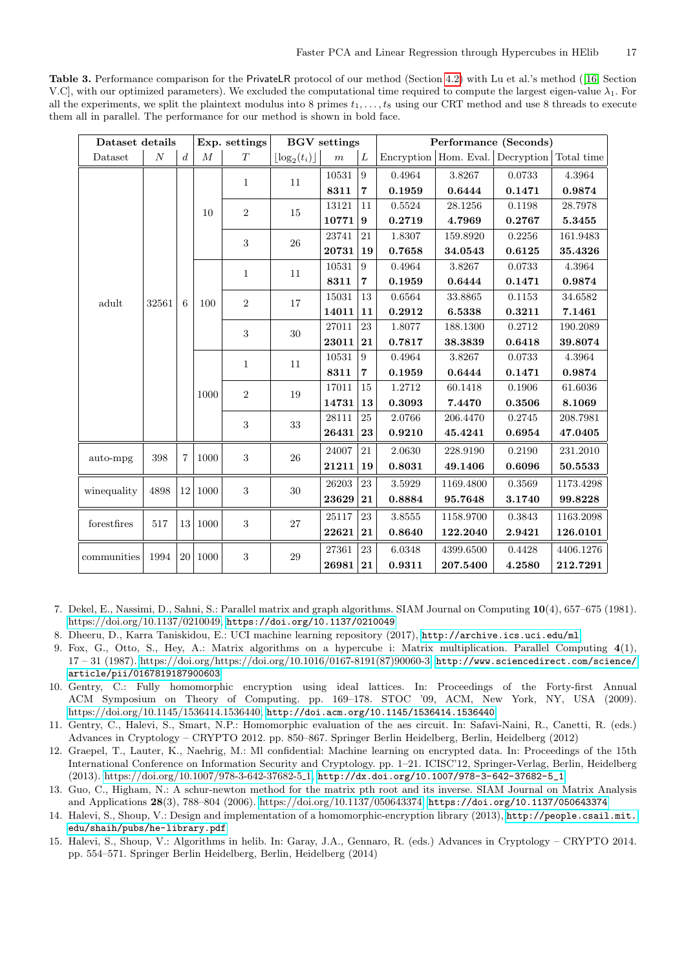<span id="page-16-8"></span>Table 3. Performance comparison for the PrivateLR protocol of our method (Section [4.2\)](#page-10-2) with Lu et al.'s method ([\[16,](#page-17-8) Section V.C, with our optimized parameters). We excluded the computational time required to compute the largest eigen-value  $\lambda_1$ . For all the experiments, we split the plaintext modulus into 8 primes  $t_1, \ldots, t_8$  using our CRT method and use 8 threads to execute them all in parallel. The performance for our method is shown in bold face.

| Dataset details      |          |                  | Exp. settings | <b>BGV</b> settings |                               |                  | Performance (Seconds) |        |           |                                  |            |
|----------------------|----------|------------------|---------------|---------------------|-------------------------------|------------------|-----------------------|--------|-----------|----------------------------------|------------|
| Dataset              | $\cal N$ | $\boldsymbol{d}$ | $\cal M$      | $\cal T$            | $\lfloor \log_2(t_i) \rfloor$ | $\boldsymbol{m}$ | $\overline{L}$        |        |           | Encryption Hom. Eval. Decryption | Total time |
|                      |          |                  |               | $\mathbf{1}$        | 11                            | 10531            | 9                     | 0.4964 | 3.8267    | 0.0733                           | 4.3964     |
|                      |          |                  |               |                     |                               | 8311             | $\overline{7}$        | 0.1959 | 0.6444    | 0.1471                           | 0.9874     |
|                      |          |                  | 10            | $\sqrt{2}$          | 15                            | 13121            | 11                    | 0.5524 | 28.1256   | 0.1198                           | 28.7978    |
|                      |          |                  |               |                     |                               | 10771            | 9                     | 0.2719 | 4.7969    | 0.2767                           | 5.3455     |
|                      |          |                  |               | 3                   | 26                            | 23741            | 21                    | 1.8307 | 159.8920  | 0.2256                           | 161.9483   |
|                      |          |                  |               |                     |                               | 20731            | 19                    | 0.7658 | 34.0543   | 0.6125                           | 35.4326    |
|                      |          |                  |               | $\mathbf{1}$        | 11                            | 10531            | 9                     | 0.4964 | 3.8267    | 0.0733                           | 4.3964     |
|                      |          |                  |               |                     |                               | 8311             | $\overline{7}$        | 0.1959 | 0.6444    | 0.1471                           | 0.9874     |
| adult                | 32561    | 6                | 100           | $\overline{2}$      | 17                            | 15031            | 13                    | 0.6564 | 33.8865   | 0.1153                           | 34.6582    |
|                      |          |                  |               |                     |                               | 14011            | 11                    | 0.2912 | 6.5338    | 0.3211                           | 7.1461     |
|                      |          |                  |               | 3                   | $30\,$                        | 27011            | 23                    | 1.8077 | 188.1300  | 0.2712                           | 190.2089   |
|                      |          |                  |               |                     |                               | 23011            | 21                    | 0.7817 | 38.3839   | 0.6418                           | 39.8074    |
|                      |          |                  |               | $\mathbf{1}$        | 11                            | 10531            | $\boldsymbol{9}$      | 0.4964 | 3.8267    | 0.0733                           | 4.3964     |
|                      |          |                  |               |                     |                               | 8311             | $\overline{7}$        | 0.1959 | 0.6444    | 0.1471                           | 0.9874     |
|                      |          |                  | 1000          | $\sqrt{2}$          | 19                            | 17011            | 15                    | 1.2712 | 60.1418   | 0.1906                           | 61.6036    |
|                      |          |                  |               |                     |                               | 14731            | 13                    | 0.3093 | 7.4470    | 0.3506                           | 8.1069     |
|                      |          |                  |               | 3                   | $33\,$                        | 28111            | 25                    | 2.0766 | 206.4470  | 0.2745                           | 208.7981   |
|                      |          |                  |               |                     |                               | 26431            | 23                    | 0.9210 | 45.4241   | 0.6954                           | 47.0405    |
| auto-mpg             | 398      | $\overline{7}$   | 1000          | 3                   | 26                            | 24007            | 21                    | 2.0630 | 228.9190  | 0.2190                           | 231.2010   |
|                      |          |                  |               |                     |                               | 21211            | 19                    | 0.8031 | 49.1406   | 0.6096                           | 50.5533    |
| winequality          | 4898     | 12               | 1000          | 3                   | $30\,$                        | 26203            | 23                    | 3.5929 | 1169.4800 | 0.3569                           | 1173.4298  |
|                      |          |                  |               |                     |                               | 23629            | 21                    | 0.8884 | 95.7648   | 3.1740                           | 99.8228    |
| ${\rm forest fires}$ | 517      |                  | 13 1000       | $\sqrt{3}$          | 27                            | 25117            | 23                    | 3.8555 | 1158.9700 | 0.3843                           | 1163.2098  |
|                      |          |                  |               |                     |                               | 22621            | 21                    | 0.8640 | 122.2040  | 2.9421                           | 126.0101   |
|                      |          |                  |               | $\boldsymbol{3}$    |                               | 27361            | 23                    | 6.0348 | 4399.6500 | 0.4428                           | 4406.1276  |
| communities          | 1994     | $20\,$           | 1000          |                     | 29                            | 26981            | 21                    | 0.9311 | 207.5400  | 4.2580                           | 212.7291   |

<span id="page-16-9"></span>7. Dekel, E., Nassimi, D., Sahni, S.: Parallel matrix and graph algorithms. SIAM Journal on Computing 10(4), 657–675 (1981). [https://doi.org/10.1137/0210049,](https://doi.org/10.1137/0210049) <https://doi.org/10.1137/0210049>

- <span id="page-16-7"></span>8. Dheeru, D., Karra Taniskidou, E.: UCI machine learning repository (2017), <http://archive.ics.uci.edu/ml>
- <span id="page-16-6"></span>9. Fox, G., Otto, S., Hey, A.: Matrix algorithms on a hypercube i: Matrix multiplication. Parallel Computing 4(1), 17 – 31 (1987). [https://doi.org/https://doi.org/10.1016/0167-8191\(87\)90060-3,](https://doi.org/https://doi.org/10.1016/0167-8191(87)90060-3) [http://www.sciencedirect.com/science/](http://www.sciencedirect.com/science/article/pii/0167819187900603) [article/pii/0167819187900603](http://www.sciencedirect.com/science/article/pii/0167819187900603)
- <span id="page-16-0"></span>10. Gentry, C.: Fully homomorphic encryption using ideal lattices. In: Proceedings of the Forty-first Annual ACM Symposium on Theory of Computing. pp. 169–178. STOC '09, ACM, New York, NY, USA (2009). [https://doi.org/10.1145/1536414.1536440,](https://doi.org/10.1145/1536414.1536440) <http://doi.acm.org/10.1145/1536414.1536440>
- <span id="page-16-1"></span>11. Gentry, C., Halevi, S., Smart, N.P.: Homomorphic evaluation of the aes circuit. In: Safavi-Naini, R., Canetti, R. (eds.) Advances in Cryptology – CRYPTO 2012. pp. 850–867. Springer Berlin Heidelberg, Berlin, Heidelberg (2012)
- <span id="page-16-3"></span>12. Graepel, T., Lauter, K., Naehrig, M.: Ml confidential: Machine learning on encrypted data. In: Proceedings of the 15th International Conference on Information Security and Cryptology. pp. 1–21. ICISC'12, Springer-Verlag, Berlin, Heidelberg (2013). [https://doi.org/10.1007/978-3-642-37682-5](https://doi.org/10.1007/978-3-642-37682-5_1) 1, [http://dx.doi.org/10.1007/978-3-642-37682-5\\_1](http://dx.doi.org/10.1007/978-3-642-37682-5_1)
- <span id="page-16-5"></span>13. Guo, C., Higham, N.: A schur-newton method for the matrix pth root and its inverse. SIAM Journal on Matrix Analysis and Applications 28(3), 788–804 (2006). [https://doi.org/10.1137/050643374,](https://doi.org/10.1137/050643374) <https://doi.org/10.1137/050643374>
- <span id="page-16-2"></span>14. Halevi, S., Shoup, V.: Design and implementation of a homomorphic-encryption library (2013), [http://people.csail.mit.](http://people.csail.mit.edu/shaih/pubs/he-library.pdf) [edu/shaih/pubs/he-library.pdf](http://people.csail.mit.edu/shaih/pubs/he-library.pdf)
- <span id="page-16-4"></span>15. Halevi, S., Shoup, V.: Algorithms in helib. In: Garay, J.A., Gennaro, R. (eds.) Advances in Cryptology – CRYPTO 2014. pp. 554–571. Springer Berlin Heidelberg, Berlin, Heidelberg (2014)